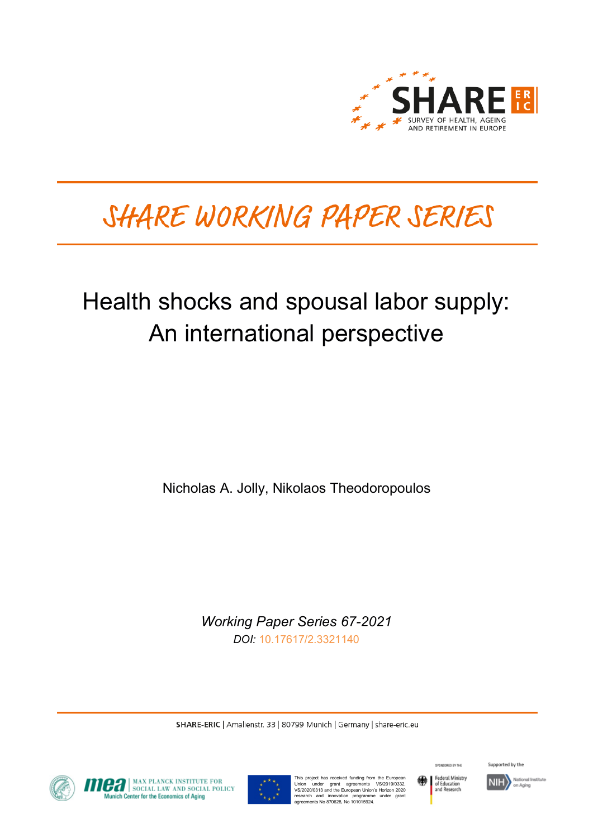

# SHARE WORKING PAPER SERIES

# Health shocks and spousal labor supply: An international perspective

Nicholas A. Jolly, Nikolaos Theodoropoulos

*Working Paper Series 67-2021 DOI:* [10.17617/2.3321140](https://doi.org/10.17617/2.3321140)

SHARE-ERIC | Amalienstr. 33 | 80799 Munich | Germany | share-eric.eu



**OFFICIAL MAX PLANCK INSTITUTE FOR SOCIAL POLICY**<br>Munich Center for the Economics of Aging



This project has received funding from the European<br>Union under grant agreements VS/2019/0332,<br>VS/2020/0313 and the European Union's Horizon 2020<br>research and innovation programme under grant<br>agreements No 870628, No 10101



SPONSORED BY THE

Supported by the

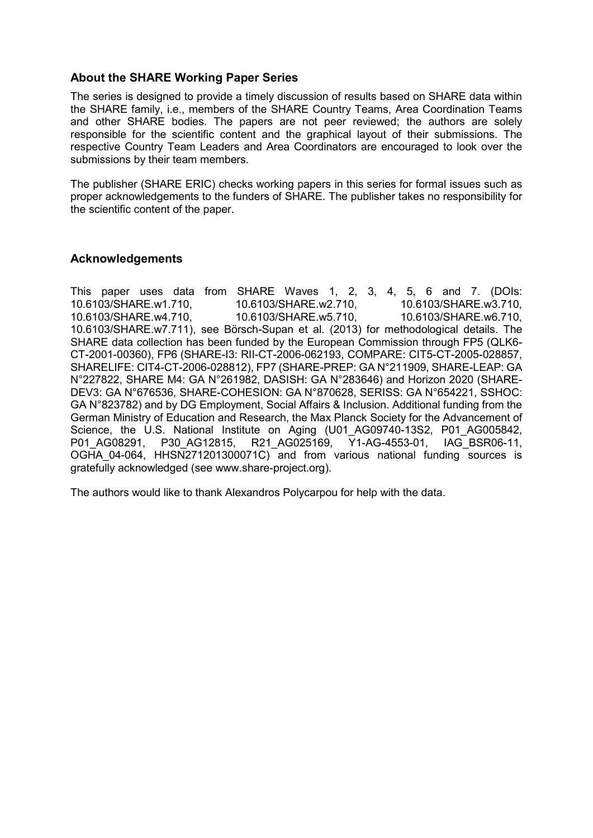## **About the SHARE Working Paper Series**

The series is designed to provide a timely discussion of results based on SHARE data within the SHARE family, i.e., members of the SHARE Country Teams, Area Coordination Teams and other SHARE bodies. The papers are not peer reviewed; the authors are solely responsible for the scientific content and the graphical layout of their submissions. The respective Country Team Leaders and Area Coordinators are encouraged to look over the submissions by their team members.

The publisher (SHARE ERIC) checks working papers in this series for formal issues such as proper acknowledgements to the funders of SHARE. The publisher takes no responsibility for the scientific content of the paper.

# **Acknowledgements**

This paper uses data from SHARE Waves 1, 2, 3, 4, 5, 6 and 7. (DOIs: 10.6103/SHARE.w1.710, 10.6103/SHARE.w2.710, 10.6103/SHARE.w3.710, 10.6103/SHARE.w4.710, 10.6103/SHARE.w5.710, 10.6103/SHARE.w6.710, 10.6103/SHARE.w7.711), see Börsch-Supan et al. (2013) for methodological details. The SHARE data collection has been funded by the European Commission through FP5 (QLK6- CT-2001-00360), FP6 (SHARE-I3: RII-CT-2006-062193, COMPARE: CIT5-CT-2005-028857, SHARELIFE: CIT4-CT-2006-028812), FP7 (SHARE-PREP: GA N°211909, SHARE-LEAP: GA N°227822, SHARE M4: GA N°261982, DASISH: GA N°283646) and Horizon 2020 (SHARE-DEV3: GA N°676536, SHARE-COHESION: GA N°870628, SERISS: GA N°654221, SSHOC: GA N°823782) and by DG Employment, Social Affairs & Inclusion. Additional funding from the German Ministry of Education and Research, the Max Planck Society for the Advancement of Science, the U.S. National Institute on Aging (U01\_AG09740-13S2, P01\_AG005842, P01 AG08291, P30 AG12815, R21 AG025169, Y1-AG-4553-01, IAG BSR06-11, R21\_AG025169, OGHA\_04-064, HHSN271201300071C) and from various national funding sources is gratefully acknowledged (see www.share-project.org).

The authors would like to thank Alexandros Polycarpou for help with the data.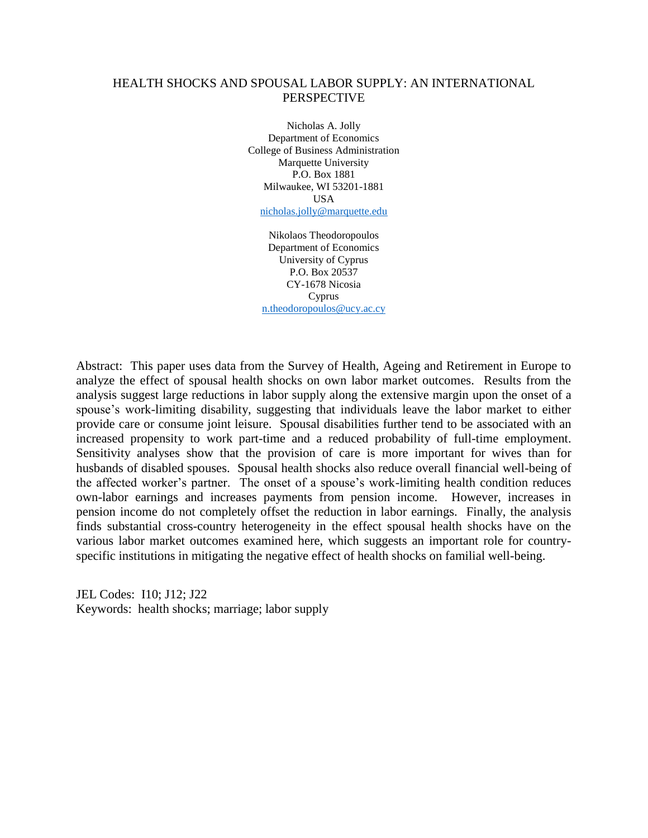## HEALTH SHOCKS AND SPOUSAL LABOR SUPPLY: AN INTERNATIONAL PERSPECTIVE

Nicholas A. Jolly Department of Economics College of Business Administration Marquette University P.O. Box 1881 Milwaukee, WI 53201-1881 USA [nicholas.jolly@marquette.edu](mailto:nicholas.jolly@marquette.edu)

Nikolaos Theodoropoulos Department of Economics University of Cyprus P.O. Box 20537 CY-1678 Nicosia Cyprus [n.theodoropoulos@ucy.ac.cy](mailto:n.theodoropoulos@ucy.ac.cy)

Abstract: This paper uses data from the Survey of Health, Ageing and Retirement in Europe to analyze the effect of spousal health shocks on own labor market outcomes. Results from the analysis suggest large reductions in labor supply along the extensive margin upon the onset of a spouse's work-limiting disability, suggesting that individuals leave the labor market to either provide care or consume joint leisure. Spousal disabilities further tend to be associated with an increased propensity to work part-time and a reduced probability of full-time employment. Sensitivity analyses show that the provision of care is more important for wives than for husbands of disabled spouses. Spousal health shocks also reduce overall financial well-being of the affected worker's partner. The onset of a spouse's work-limiting health condition reduces own-labor earnings and increases payments from pension income. However, increases in pension income do not completely offset the reduction in labor earnings. Finally, the analysis finds substantial cross-country heterogeneity in the effect spousal health shocks have on the various labor market outcomes examined here, which suggests an important role for countryspecific institutions in mitigating the negative effect of health shocks on familial well-being.

JEL Codes: I10; J12; J22 Keywords: health shocks; marriage; labor supply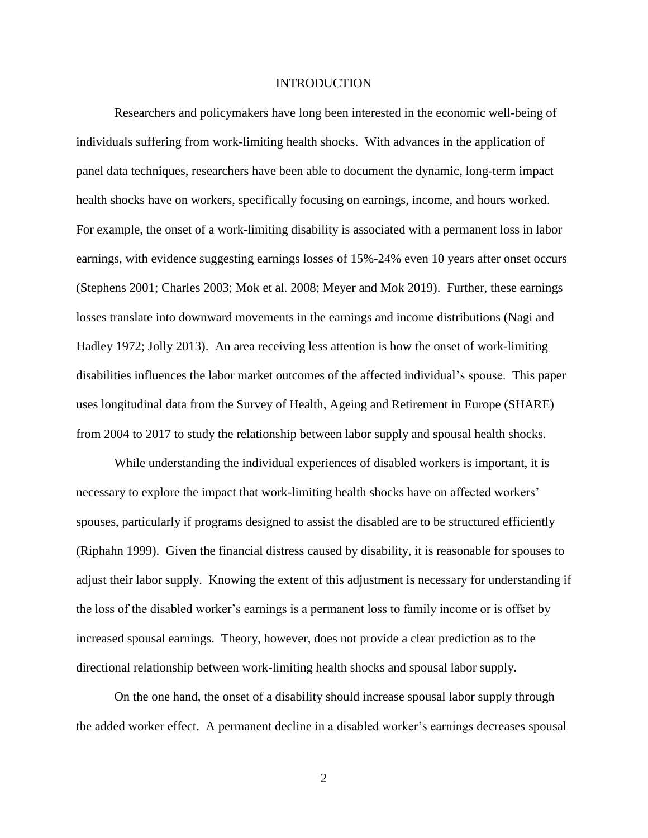#### INTRODUCTION

Researchers and policymakers have long been interested in the economic well-being of individuals suffering from work-limiting health shocks. With advances in the application of panel data techniques, researchers have been able to document the dynamic, long-term impact health shocks have on workers, specifically focusing on earnings, income, and hours worked. For example, the onset of a work-limiting disability is associated with a permanent loss in labor earnings, with evidence suggesting earnings losses of 15%-24% even 10 years after onset occurs (Stephens 2001; Charles 2003; Mok et al. 2008; Meyer and Mok 2019). Further, these earnings losses translate into downward movements in the earnings and income distributions (Nagi and Hadley 1972; Jolly 2013). An area receiving less attention is how the onset of work-limiting disabilities influences the labor market outcomes of the affected individual's spouse. This paper uses longitudinal data from the Survey of Health, Ageing and Retirement in Europe (SHARE) from 2004 to 2017 to study the relationship between labor supply and spousal health shocks.

While understanding the individual experiences of disabled workers is important, it is necessary to explore the impact that work-limiting health shocks have on affected workers' spouses, particularly if programs designed to assist the disabled are to be structured efficiently (Riphahn 1999). Given the financial distress caused by disability, it is reasonable for spouses to adjust their labor supply. Knowing the extent of this adjustment is necessary for understanding if the loss of the disabled worker's earnings is a permanent loss to family income or is offset by increased spousal earnings. Theory, however, does not provide a clear prediction as to the directional relationship between work-limiting health shocks and spousal labor supply.

On the one hand, the onset of a disability should increase spousal labor supply through the added worker effect. A permanent decline in a disabled worker's earnings decreases spousal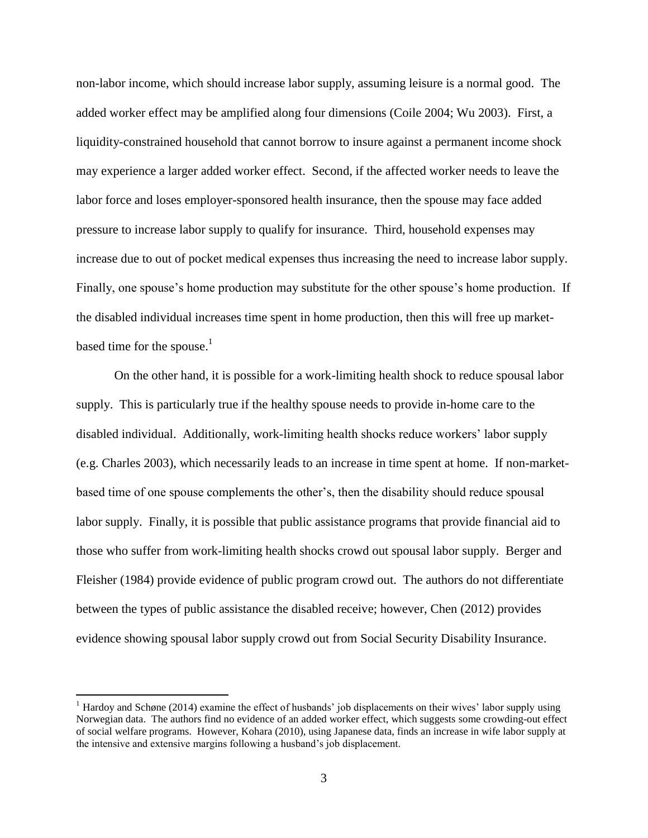non-labor income, which should increase labor supply, assuming leisure is a normal good. The added worker effect may be amplified along four dimensions (Coile 2004; Wu 2003). First, a liquidity-constrained household that cannot borrow to insure against a permanent income shock may experience a larger added worker effect. Second, if the affected worker needs to leave the labor force and loses employer-sponsored health insurance, then the spouse may face added pressure to increase labor supply to qualify for insurance. Third, household expenses may increase due to out of pocket medical expenses thus increasing the need to increase labor supply. Finally, one spouse's home production may substitute for the other spouse's home production. If the disabled individual increases time spent in home production, then this will free up marketbased time for the spouse.<sup>1</sup>

On the other hand, it is possible for a work-limiting health shock to reduce spousal labor supply. This is particularly true if the healthy spouse needs to provide in-home care to the disabled individual. Additionally, work-limiting health shocks reduce workers' labor supply (e.g. Charles 2003), which necessarily leads to an increase in time spent at home. If non-marketbased time of one spouse complements the other's, then the disability should reduce spousal labor supply. Finally, it is possible that public assistance programs that provide financial aid to those who suffer from work-limiting health shocks crowd out spousal labor supply. Berger and Fleisher (1984) provide evidence of public program crowd out. The authors do not differentiate between the types of public assistance the disabled receive; however, Chen (2012) provides evidence showing spousal labor supply crowd out from Social Security Disability Insurance.

 $\overline{a}$ 

 $1$  Hardoy and Schøne (2014) examine the effect of husbands' job displacements on their wives' labor supply using Norwegian data. The authors find no evidence of an added worker effect, which suggests some crowding-out effect of social welfare programs. However, Kohara (2010), using Japanese data, finds an increase in wife labor supply at the intensive and extensive margins following a husband's job displacement.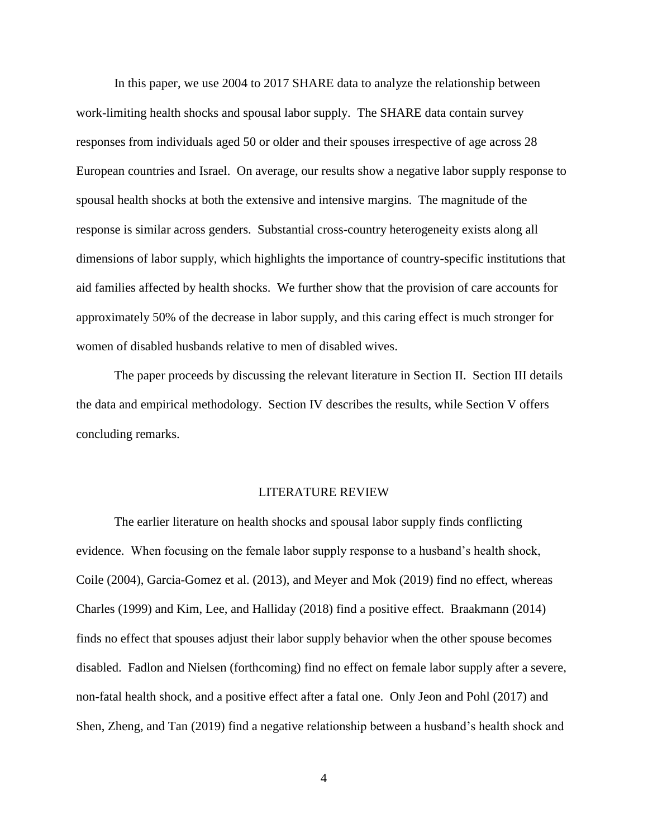In this paper, we use 2004 to 2017 SHARE data to analyze the relationship between work-limiting health shocks and spousal labor supply. The SHARE data contain survey responses from individuals aged 50 or older and their spouses irrespective of age across 28 European countries and Israel. On average, our results show a negative labor supply response to spousal health shocks at both the extensive and intensive margins. The magnitude of the response is similar across genders. Substantial cross-country heterogeneity exists along all dimensions of labor supply, which highlights the importance of country-specific institutions that aid families affected by health shocks. We further show that the provision of care accounts for approximately 50% of the decrease in labor supply, and this caring effect is much stronger for women of disabled husbands relative to men of disabled wives.

The paper proceeds by discussing the relevant literature in Section II. Section III details the data and empirical methodology. Section IV describes the results, while Section V offers concluding remarks.

#### LITERATURE REVIEW

The earlier literature on health shocks and spousal labor supply finds conflicting evidence. When focusing on the female labor supply response to a husband's health shock, Coile (2004), Garcia-Gomez et al. (2013), and Meyer and Mok (2019) find no effect, whereas Charles (1999) and Kim, Lee, and Halliday (2018) find a positive effect. Braakmann (2014) finds no effect that spouses adjust their labor supply behavior when the other spouse becomes disabled. Fadlon and Nielsen (forthcoming) find no effect on female labor supply after a severe, non-fatal health shock, and a positive effect after a fatal one. Only Jeon and Pohl (2017) and Shen, Zheng, and Tan (2019) find a negative relationship between a husband's health shock and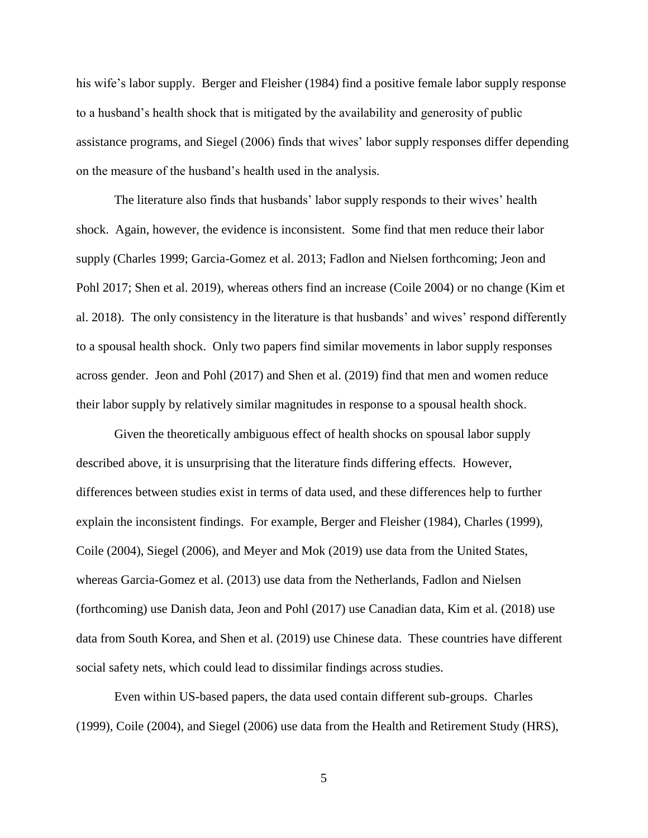his wife's labor supply. Berger and Fleisher (1984) find a positive female labor supply response to a husband's health shock that is mitigated by the availability and generosity of public assistance programs, and Siegel (2006) finds that wives' labor supply responses differ depending on the measure of the husband's health used in the analysis.

The literature also finds that husbands' labor supply responds to their wives' health shock. Again, however, the evidence is inconsistent. Some find that men reduce their labor supply (Charles 1999; Garcia-Gomez et al. 2013; Fadlon and Nielsen forthcoming; Jeon and Pohl 2017; Shen et al. 2019), whereas others find an increase (Coile 2004) or no change (Kim et al. 2018). The only consistency in the literature is that husbands' and wives' respond differently to a spousal health shock. Only two papers find similar movements in labor supply responses across gender. Jeon and Pohl (2017) and Shen et al. (2019) find that men and women reduce their labor supply by relatively similar magnitudes in response to a spousal health shock.

Given the theoretically ambiguous effect of health shocks on spousal labor supply described above, it is unsurprising that the literature finds differing effects. However, differences between studies exist in terms of data used, and these differences help to further explain the inconsistent findings. For example, Berger and Fleisher (1984), Charles (1999), Coile (2004), Siegel (2006), and Meyer and Mok (2019) use data from the United States, whereas Garcia-Gomez et al. (2013) use data from the Netherlands, Fadlon and Nielsen (forthcoming) use Danish data, Jeon and Pohl (2017) use Canadian data, Kim et al. (2018) use data from South Korea, and Shen et al. (2019) use Chinese data. These countries have different social safety nets, which could lead to dissimilar findings across studies.

Even within US-based papers, the data used contain different sub-groups. Charles (1999), Coile (2004), and Siegel (2006) use data from the Health and Retirement Study (HRS),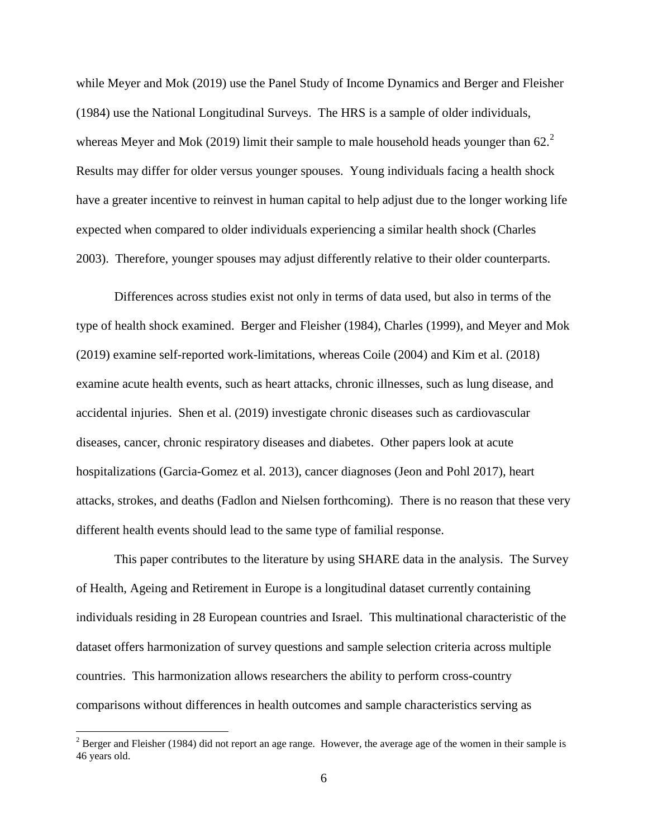while Meyer and Mok (2019) use the Panel Study of Income Dynamics and Berger and Fleisher (1984) use the National Longitudinal Surveys. The HRS is a sample of older individuals, whereas Meyer and Mok (2019) limit their sample to male household heads younger than 62. $2$ Results may differ for older versus younger spouses. Young individuals facing a health shock have a greater incentive to reinvest in human capital to help adjust due to the longer working life expected when compared to older individuals experiencing a similar health shock (Charles 2003). Therefore, younger spouses may adjust differently relative to their older counterparts.

Differences across studies exist not only in terms of data used, but also in terms of the type of health shock examined. Berger and Fleisher (1984), Charles (1999), and Meyer and Mok (2019) examine self-reported work-limitations, whereas Coile (2004) and Kim et al. (2018) examine acute health events, such as heart attacks, chronic illnesses, such as lung disease, and accidental injuries. Shen et al. (2019) investigate chronic diseases such as cardiovascular diseases, cancer, chronic respiratory diseases and diabetes. Other papers look at acute hospitalizations (Garcia-Gomez et al. 2013), cancer diagnoses (Jeon and Pohl 2017), heart attacks, strokes, and deaths (Fadlon and Nielsen forthcoming). There is no reason that these very different health events should lead to the same type of familial response.

This paper contributes to the literature by using SHARE data in the analysis. The Survey of Health, Ageing and Retirement in Europe is a longitudinal dataset currently containing individuals residing in 28 European countries and Israel. This multinational characteristic of the dataset offers harmonization of survey questions and sample selection criteria across multiple countries. This harmonization allows researchers the ability to perform cross-country comparisons without differences in health outcomes and sample characteristics serving as

 $\overline{a}$ 

 $2$  Berger and Fleisher (1984) did not report an age range. However, the average age of the women in their sample is 46 years old.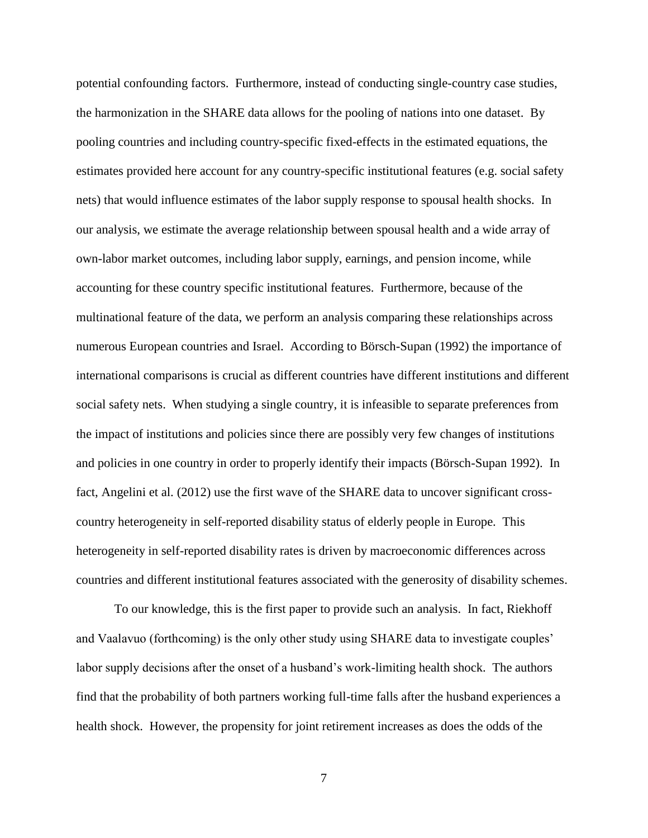potential confounding factors. Furthermore, instead of conducting single-country case studies, the harmonization in the SHARE data allows for the pooling of nations into one dataset. By pooling countries and including country-specific fixed-effects in the estimated equations, the estimates provided here account for any country-specific institutional features (e.g. social safety nets) that would influence estimates of the labor supply response to spousal health shocks. In our analysis, we estimate the average relationship between spousal health and a wide array of own-labor market outcomes, including labor supply, earnings, and pension income, while accounting for these country specific institutional features. Furthermore, because of the multinational feature of the data, we perform an analysis comparing these relationships across numerous European countries and Israel. According to Börsch-Supan (1992) the importance of international comparisons is crucial as different countries have different institutions and different social safety nets. When studying a single country, it is infeasible to separate preferences from the impact of institutions and policies since there are possibly very few changes of institutions and policies in one country in order to properly identify their impacts (Börsch-Supan 1992). In fact, Angelini et al. (2012) use the first wave of the SHARE data to uncover significant crosscountry heterogeneity in self-reported disability status of elderly people in Europe. This heterogeneity in self-reported disability rates is driven by macroeconomic differences across countries and different institutional features associated with the generosity of disability schemes.

To our knowledge, this is the first paper to provide such an analysis. In fact, Riekhoff and Vaalavuo (forthcoming) is the only other study using SHARE data to investigate couples' labor supply decisions after the onset of a husband's work-limiting health shock. The authors find that the probability of both partners working full-time falls after the husband experiences a health shock. However, the propensity for joint retirement increases as does the odds of the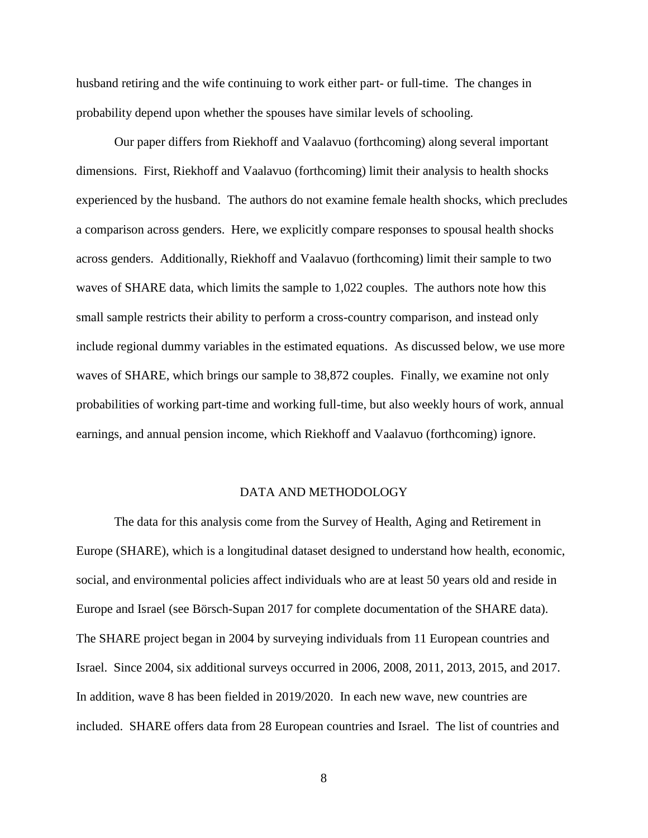husband retiring and the wife continuing to work either part- or full-time. The changes in probability depend upon whether the spouses have similar levels of schooling.

Our paper differs from Riekhoff and Vaalavuo (forthcoming) along several important dimensions. First, Riekhoff and Vaalavuo (forthcoming) limit their analysis to health shocks experienced by the husband. The authors do not examine female health shocks, which precludes a comparison across genders. Here, we explicitly compare responses to spousal health shocks across genders. Additionally, Riekhoff and Vaalavuo (forthcoming) limit their sample to two waves of SHARE data, which limits the sample to 1,022 couples. The authors note how this small sample restricts their ability to perform a cross-country comparison, and instead only include regional dummy variables in the estimated equations. As discussed below, we use more waves of SHARE, which brings our sample to 38,872 couples. Finally, we examine not only probabilities of working part-time and working full-time, but also weekly hours of work, annual earnings, and annual pension income, which Riekhoff and Vaalavuo (forthcoming) ignore.

#### DATA AND METHODOLOGY

The data for this analysis come from the Survey of Health, Aging and Retirement in Europe (SHARE), which is a longitudinal dataset designed to understand how health, economic, social, and environmental policies affect individuals who are at least 50 years old and reside in Europe and Israel (see Börsch-Supan 2017 for complete documentation of the SHARE data). The SHARE project began in 2004 by surveying individuals from 11 European countries and Israel. Since 2004, six additional surveys occurred in 2006, 2008, 2011, 2013, 2015, and 2017. In addition, wave 8 has been fielded in 2019/2020. In each new wave, new countries are included. SHARE offers data from 28 European countries and Israel. The list of countries and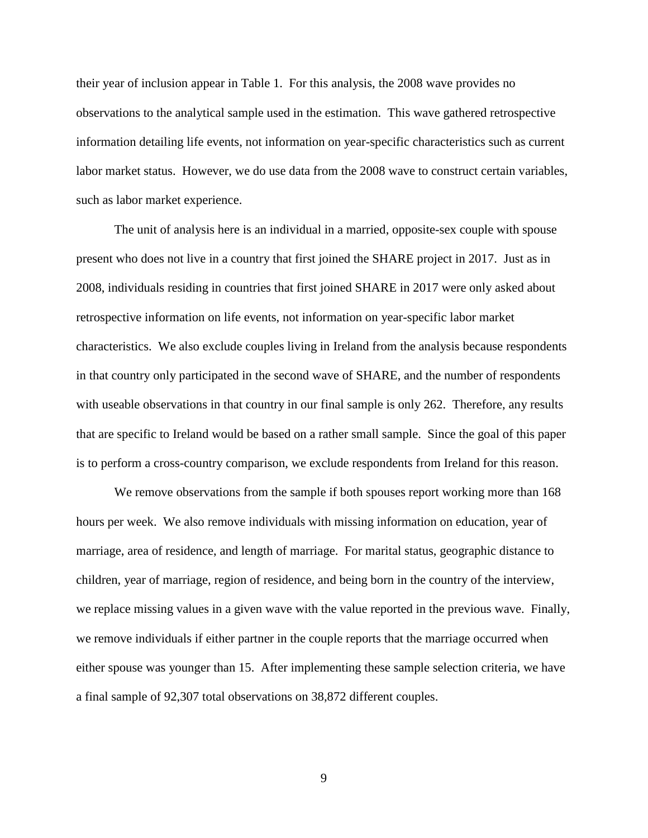their year of inclusion appear in Table 1. For this analysis, the 2008 wave provides no observations to the analytical sample used in the estimation. This wave gathered retrospective information detailing life events, not information on year-specific characteristics such as current labor market status. However, we do use data from the 2008 wave to construct certain variables, such as labor market experience.

The unit of analysis here is an individual in a married, opposite-sex couple with spouse present who does not live in a country that first joined the SHARE project in 2017. Just as in 2008, individuals residing in countries that first joined SHARE in 2017 were only asked about retrospective information on life events, not information on year-specific labor market characteristics. We also exclude couples living in Ireland from the analysis because respondents in that country only participated in the second wave of SHARE, and the number of respondents with useable observations in that country in our final sample is only 262. Therefore, any results that are specific to Ireland would be based on a rather small sample. Since the goal of this paper is to perform a cross-country comparison, we exclude respondents from Ireland for this reason.

We remove observations from the sample if both spouses report working more than 168 hours per week. We also remove individuals with missing information on education, year of marriage, area of residence, and length of marriage. For marital status, geographic distance to children, year of marriage, region of residence, and being born in the country of the interview, we replace missing values in a given wave with the value reported in the previous wave. Finally, we remove individuals if either partner in the couple reports that the marriage occurred when either spouse was younger than 15. After implementing these sample selection criteria, we have a final sample of 92,307 total observations on 38,872 different couples.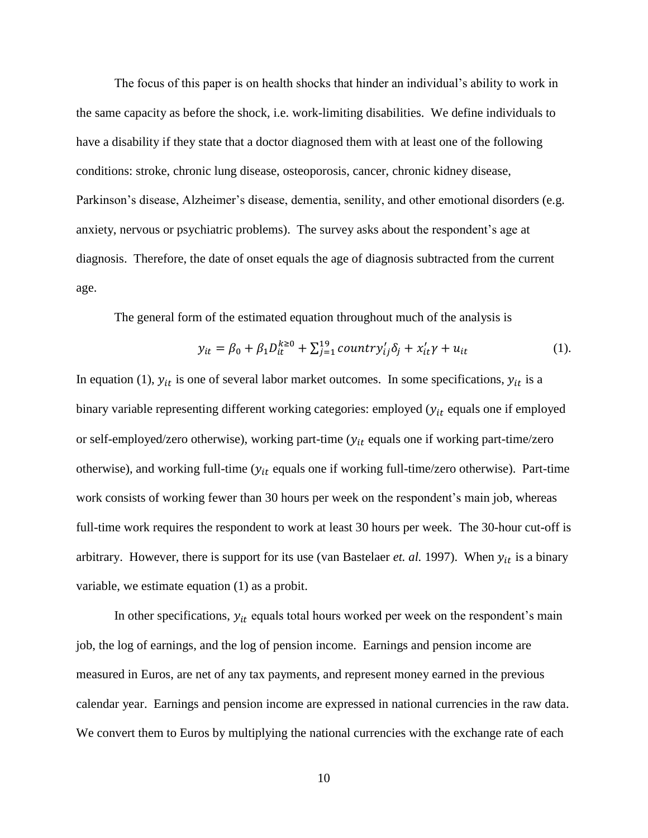The focus of this paper is on health shocks that hinder an individual's ability to work in the same capacity as before the shock, i.e. work-limiting disabilities. We define individuals to have a disability if they state that a doctor diagnosed them with at least one of the following conditions: stroke, chronic lung disease, osteoporosis, cancer, chronic kidney disease, Parkinson's disease, Alzheimer's disease, dementia, senility, and other emotional disorders (e.g. anxiety, nervous or psychiatric problems). The survey asks about the respondent's age at diagnosis. Therefore, the date of onset equals the age of diagnosis subtracted from the current age.

The general form of the estimated equation throughout much of the analysis is

$$
y_{it} = \beta_0 + \beta_1 D_{it}^{k \ge 0} + \sum_{j=1}^{19} country'_{ij}\delta_j + x'_{it}\gamma + u_{it}
$$
 (1).

In equation (1),  $y_{it}$  is one of several labor market outcomes. In some specifications,  $y_{it}$  is a binary variable representing different working categories: employed  $(y_{it}$  equals one if employed or self-employed/zero otherwise), working part-time ( $y_{it}$  equals one if working part-time/zero otherwise), and working full-time ( $y_{it}$  equals one if working full-time/zero otherwise). Part-time work consists of working fewer than 30 hours per week on the respondent's main job, whereas full-time work requires the respondent to work at least 30 hours per week. The 30-hour cut-off is arbitrary. However, there is support for its use (van Bastelaer *et. al.* 1997). When  $y_{it}$  is a binary variable, we estimate equation (1) as a probit.

In other specifications,  $y_{it}$  equals total hours worked per week on the respondent's main job, the log of earnings, and the log of pension income. Earnings and pension income are measured in Euros, are net of any tax payments, and represent money earned in the previous calendar year. Earnings and pension income are expressed in national currencies in the raw data. We convert them to Euros by multiplying the national currencies with the exchange rate of each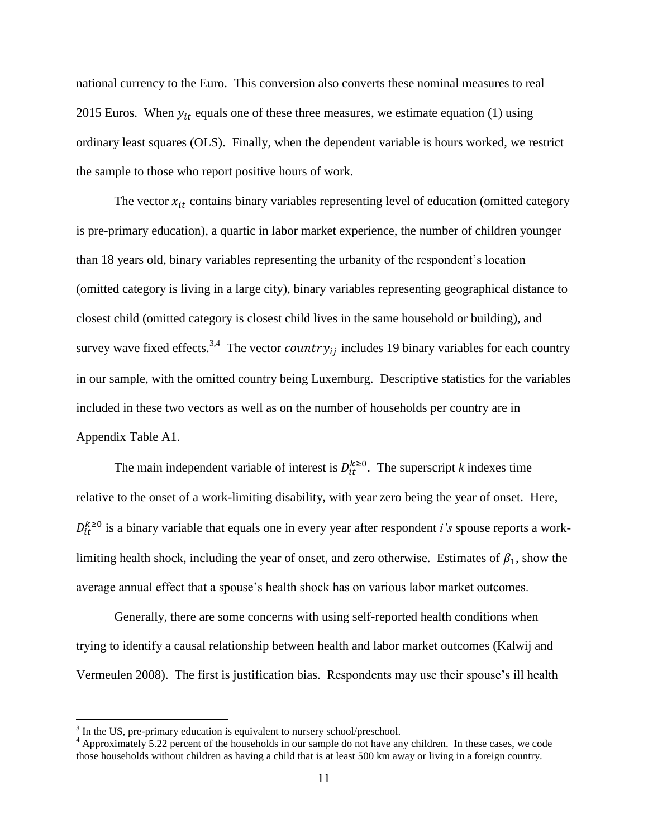national currency to the Euro. This conversion also converts these nominal measures to real 2015 Euros. When  $y_{it}$  equals one of these three measures, we estimate equation (1) using ordinary least squares (OLS). Finally, when the dependent variable is hours worked, we restrict the sample to those who report positive hours of work.

The vector  $x_{it}$  contains binary variables representing level of education (omitted category is pre-primary education), a quartic in labor market experience, the number of children younger than 18 years old, binary variables representing the urbanity of the respondent's location (omitted category is living in a large city), binary variables representing geographical distance to closest child (omitted category is closest child lives in the same household or building), and survey wave fixed effects.<sup>3,4</sup> The vector *country*<sub>ij</sub> includes 19 binary variables for each country in our sample, with the omitted country being Luxemburg. Descriptive statistics for the variables included in these two vectors as well as on the number of households per country are in Appendix Table A1.

The main independent variable of interest is  $D_{it}^{k \geq 0}$ . The superscript *k* indexes time relative to the onset of a work-limiting disability, with year zero being the year of onset. Here,  $D_{it}^{k \geq 0}$  is a binary variable that equals one in every year after respondent *i's* spouse reports a worklimiting health shock, including the year of onset, and zero otherwise. Estimates of  $\beta_1$ , show the average annual effect that a spouse's health shock has on various labor market outcomes.

Generally, there are some concerns with using self-reported health conditions when trying to identify a causal relationship between health and labor market outcomes (Kalwij and Vermeulen 2008). The first is justification bias. Respondents may use their spouse's ill health

 $\overline{a}$ 

 $3$  In the US, pre-primary education is equivalent to nursery school/preschool.

<sup>&</sup>lt;sup>4</sup> Approximately 5.22 percent of the households in our sample do not have any children. In these cases, we code those households without children as having a child that is at least 500 km away or living in a foreign country.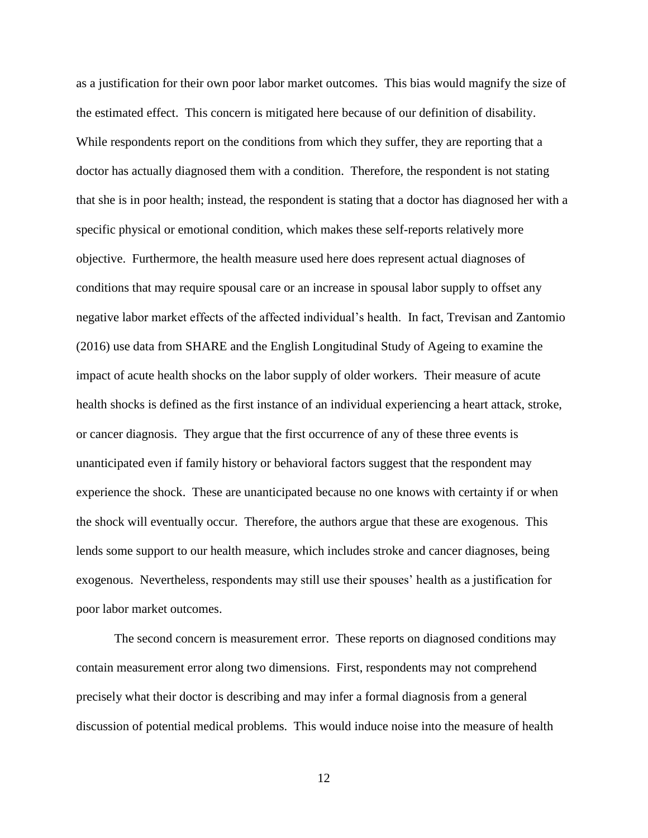as a justification for their own poor labor market outcomes. This bias would magnify the size of the estimated effect. This concern is mitigated here because of our definition of disability. While respondents report on the conditions from which they suffer, they are reporting that a doctor has actually diagnosed them with a condition. Therefore, the respondent is not stating that she is in poor health; instead, the respondent is stating that a doctor has diagnosed her with a specific physical or emotional condition, which makes these self-reports relatively more objective. Furthermore, the health measure used here does represent actual diagnoses of conditions that may require spousal care or an increase in spousal labor supply to offset any negative labor market effects of the affected individual's health. In fact, Trevisan and Zantomio (2016) use data from SHARE and the English Longitudinal Study of Ageing to examine the impact of acute health shocks on the labor supply of older workers. Their measure of acute health shocks is defined as the first instance of an individual experiencing a heart attack, stroke, or cancer diagnosis. They argue that the first occurrence of any of these three events is unanticipated even if family history or behavioral factors suggest that the respondent may experience the shock. These are unanticipated because no one knows with certainty if or when the shock will eventually occur. Therefore, the authors argue that these are exogenous. This lends some support to our health measure, which includes stroke and cancer diagnoses, being exogenous. Nevertheless, respondents may still use their spouses' health as a justification for poor labor market outcomes.

The second concern is measurement error. These reports on diagnosed conditions may contain measurement error along two dimensions. First, respondents may not comprehend precisely what their doctor is describing and may infer a formal diagnosis from a general discussion of potential medical problems. This would induce noise into the measure of health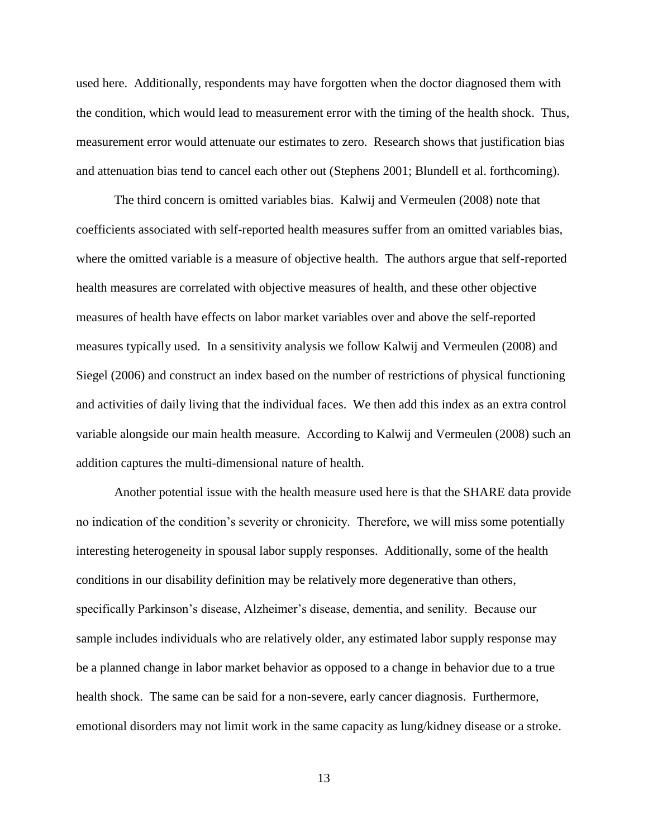used here. Additionally, respondents may have forgotten when the doctor diagnosed them with the condition, which would lead to measurement error with the timing of the health shock. Thus, measurement error would attenuate our estimates to zero. Research shows that justification bias and attenuation bias tend to cancel each other out (Stephens 2001; Blundell et al. forthcoming).

The third concern is omitted variables bias. Kalwij and Vermeulen (2008) note that coefficients associated with self-reported health measures suffer from an omitted variables bias, where the omitted variable is a measure of objective health. The authors argue that self-reported health measures are correlated with objective measures of health, and these other objective measures of health have effects on labor market variables over and above the self-reported measures typically used. In a sensitivity analysis we follow Kalwij and Vermeulen (2008) and Siegel (2006) and construct an index based on the number of restrictions of physical functioning and activities of daily living that the individual faces. We then add this index as an extra control variable alongside our main health measure. According to Kalwij and Vermeulen (2008) such an addition captures the multi-dimensional nature of health.

Another potential issue with the health measure used here is that the SHARE data provide no indication of the condition's severity or chronicity. Therefore, we will miss some potentially interesting heterogeneity in spousal labor supply responses. Additionally, some of the health conditions in our disability definition may be relatively more degenerative than others, specifically Parkinson's disease, Alzheimer's disease, dementia, and senility. Because our sample includes individuals who are relatively older, any estimated labor supply response may be a planned change in labor market behavior as opposed to a change in behavior due to a true health shock. The same can be said for a non-severe, early cancer diagnosis. Furthermore, emotional disorders may not limit work in the same capacity as lung/kidney disease or a stroke.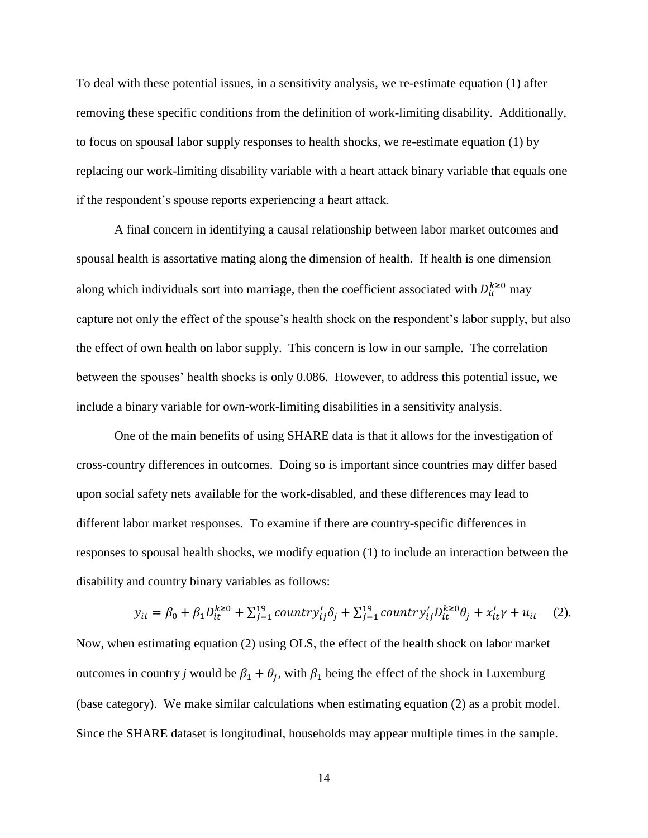To deal with these potential issues, in a sensitivity analysis, we re-estimate equation (1) after removing these specific conditions from the definition of work-limiting disability. Additionally, to focus on spousal labor supply responses to health shocks, we re-estimate equation (1) by replacing our work-limiting disability variable with a heart attack binary variable that equals one if the respondent's spouse reports experiencing a heart attack.

A final concern in identifying a causal relationship between labor market outcomes and spousal health is assortative mating along the dimension of health. If health is one dimension along which individuals sort into marriage, then the coefficient associated with  $D_{it}^{k \ge 0}$  may capture not only the effect of the spouse's health shock on the respondent's labor supply, but also the effect of own health on labor supply. This concern is low in our sample. The correlation between the spouses' health shocks is only 0.086. However, to address this potential issue, we include a binary variable for own-work-limiting disabilities in a sensitivity analysis.

One of the main benefits of using SHARE data is that it allows for the investigation of cross-country differences in outcomes. Doing so is important since countries may differ based upon social safety nets available for the work-disabled, and these differences may lead to different labor market responses. To examine if there are country-specific differences in responses to spousal health shocks, we modify equation (1) to include an interaction between the disability and country binary variables as follows:

$$
y_{it} = \beta_0 + \beta_1 D_{it}^{k \ge 0} + \sum_{j=1}^{19} \text{country}'_{ij} \delta_j + \sum_{j=1}^{19} \text{country}'_{ij} D_{it}^{k \ge 0} \theta_j + x'_{it} \gamma + u_{it} \quad (2).
$$

Now, when estimating equation (2) using OLS, the effect of the health shock on labor market outcomes in country *j* would be  $\beta_1 + \theta_j$ , with  $\beta_1$  being the effect of the shock in Luxemburg (base category). We make similar calculations when estimating equation (2) as a probit model. Since the SHARE dataset is longitudinal, households may appear multiple times in the sample.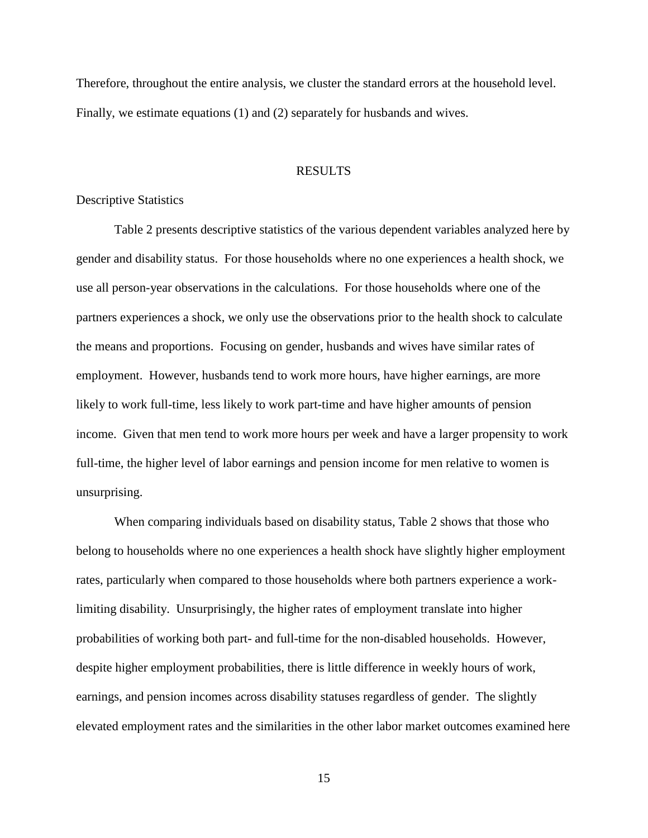Therefore, throughout the entire analysis, we cluster the standard errors at the household level. Finally, we estimate equations (1) and (2) separately for husbands and wives.

#### RESULTS

#### Descriptive Statistics

Table 2 presents descriptive statistics of the various dependent variables analyzed here by gender and disability status. For those households where no one experiences a health shock, we use all person-year observations in the calculations. For those households where one of the partners experiences a shock, we only use the observations prior to the health shock to calculate the means and proportions. Focusing on gender, husbands and wives have similar rates of employment. However, husbands tend to work more hours, have higher earnings, are more likely to work full-time, less likely to work part-time and have higher amounts of pension income. Given that men tend to work more hours per week and have a larger propensity to work full-time, the higher level of labor earnings and pension income for men relative to women is unsurprising.

When comparing individuals based on disability status, Table 2 shows that those who belong to households where no one experiences a health shock have slightly higher employment rates, particularly when compared to those households where both partners experience a worklimiting disability. Unsurprisingly, the higher rates of employment translate into higher probabilities of working both part- and full-time for the non-disabled households. However, despite higher employment probabilities, there is little difference in weekly hours of work, earnings, and pension incomes across disability statuses regardless of gender. The slightly elevated employment rates and the similarities in the other labor market outcomes examined here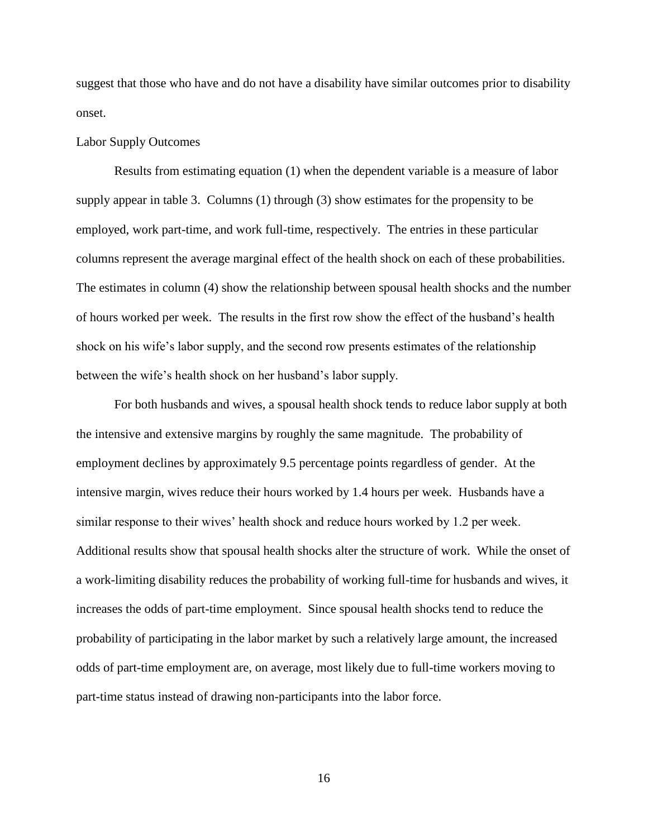suggest that those who have and do not have a disability have similar outcomes prior to disability onset.

#### Labor Supply Outcomes

Results from estimating equation (1) when the dependent variable is a measure of labor supply appear in table 3. Columns (1) through (3) show estimates for the propensity to be employed, work part-time, and work full-time, respectively. The entries in these particular columns represent the average marginal effect of the health shock on each of these probabilities. The estimates in column (4) show the relationship between spousal health shocks and the number of hours worked per week. The results in the first row show the effect of the husband's health shock on his wife's labor supply, and the second row presents estimates of the relationship between the wife's health shock on her husband's labor supply.

For both husbands and wives, a spousal health shock tends to reduce labor supply at both the intensive and extensive margins by roughly the same magnitude. The probability of employment declines by approximately 9.5 percentage points regardless of gender. At the intensive margin, wives reduce their hours worked by 1.4 hours per week. Husbands have a similar response to their wives' health shock and reduce hours worked by 1.2 per week. Additional results show that spousal health shocks alter the structure of work. While the onset of a work-limiting disability reduces the probability of working full-time for husbands and wives, it increases the odds of part-time employment. Since spousal health shocks tend to reduce the probability of participating in the labor market by such a relatively large amount, the increased odds of part-time employment are, on average, most likely due to full-time workers moving to part-time status instead of drawing non-participants into the labor force.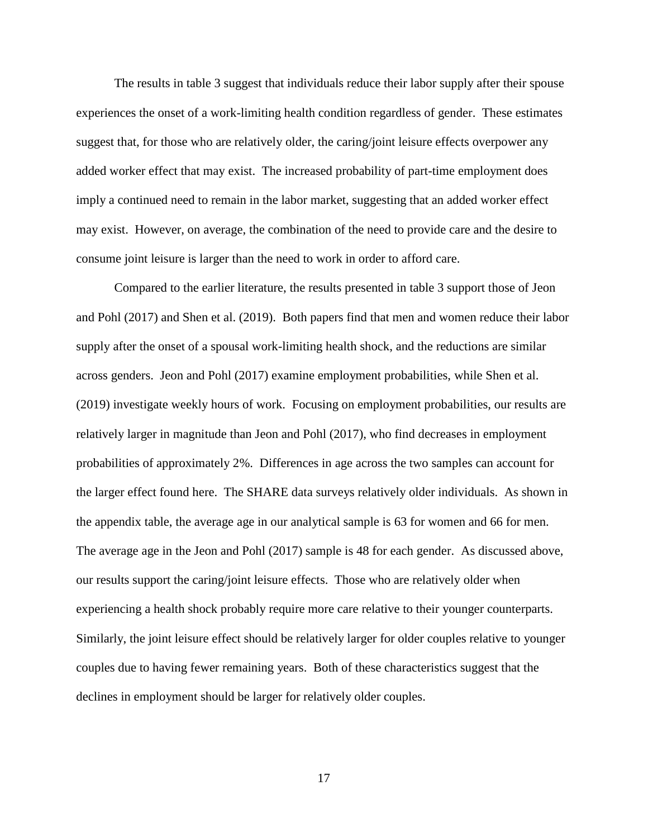The results in table 3 suggest that individuals reduce their labor supply after their spouse experiences the onset of a work-limiting health condition regardless of gender. These estimates suggest that, for those who are relatively older, the caring/joint leisure effects overpower any added worker effect that may exist. The increased probability of part-time employment does imply a continued need to remain in the labor market, suggesting that an added worker effect may exist. However, on average, the combination of the need to provide care and the desire to consume joint leisure is larger than the need to work in order to afford care.

Compared to the earlier literature, the results presented in table 3 support those of Jeon and Pohl (2017) and Shen et al. (2019). Both papers find that men and women reduce their labor supply after the onset of a spousal work-limiting health shock, and the reductions are similar across genders. Jeon and Pohl (2017) examine employment probabilities, while Shen et al. (2019) investigate weekly hours of work. Focusing on employment probabilities, our results are relatively larger in magnitude than Jeon and Pohl (2017), who find decreases in employment probabilities of approximately 2%. Differences in age across the two samples can account for the larger effect found here. The SHARE data surveys relatively older individuals. As shown in the appendix table, the average age in our analytical sample is 63 for women and 66 for men. The average age in the Jeon and Pohl (2017) sample is 48 for each gender. As discussed above, our results support the caring/joint leisure effects. Those who are relatively older when experiencing a health shock probably require more care relative to their younger counterparts. Similarly, the joint leisure effect should be relatively larger for older couples relative to younger couples due to having fewer remaining years. Both of these characteristics suggest that the declines in employment should be larger for relatively older couples.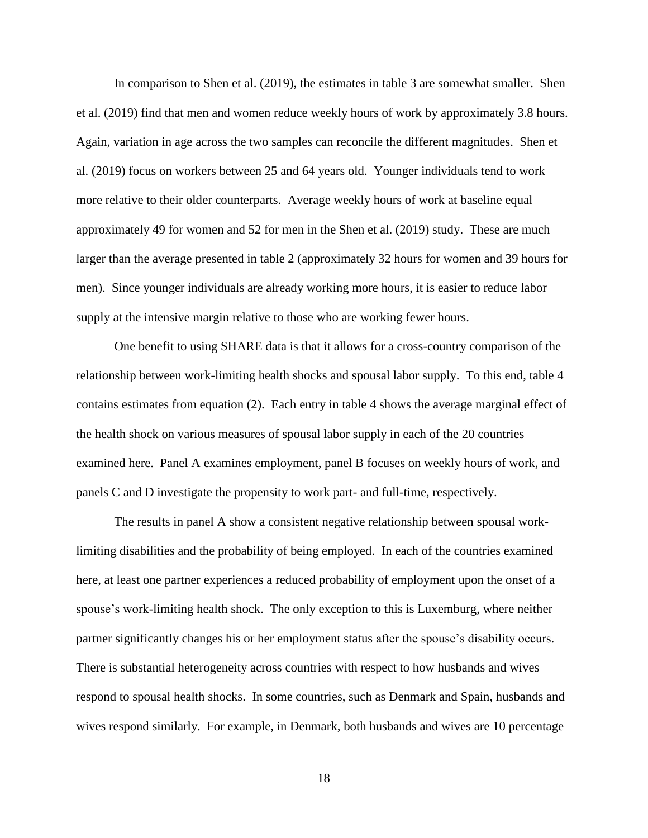In comparison to Shen et al. (2019), the estimates in table 3 are somewhat smaller. Shen et al. (2019) find that men and women reduce weekly hours of work by approximately 3.8 hours. Again, variation in age across the two samples can reconcile the different magnitudes. Shen et al. (2019) focus on workers between 25 and 64 years old. Younger individuals tend to work more relative to their older counterparts. Average weekly hours of work at baseline equal approximately 49 for women and 52 for men in the Shen et al. (2019) study. These are much larger than the average presented in table 2 (approximately 32 hours for women and 39 hours for men). Since younger individuals are already working more hours, it is easier to reduce labor supply at the intensive margin relative to those who are working fewer hours.

One benefit to using SHARE data is that it allows for a cross-country comparison of the relationship between work-limiting health shocks and spousal labor supply. To this end, table 4 contains estimates from equation (2). Each entry in table 4 shows the average marginal effect of the health shock on various measures of spousal labor supply in each of the 20 countries examined here. Panel A examines employment, panel B focuses on weekly hours of work, and panels C and D investigate the propensity to work part- and full-time, respectively.

The results in panel A show a consistent negative relationship between spousal worklimiting disabilities and the probability of being employed. In each of the countries examined here, at least one partner experiences a reduced probability of employment upon the onset of a spouse's work-limiting health shock. The only exception to this is Luxemburg, where neither partner significantly changes his or her employment status after the spouse's disability occurs. There is substantial heterogeneity across countries with respect to how husbands and wives respond to spousal health shocks. In some countries, such as Denmark and Spain, husbands and wives respond similarly. For example, in Denmark, both husbands and wives are 10 percentage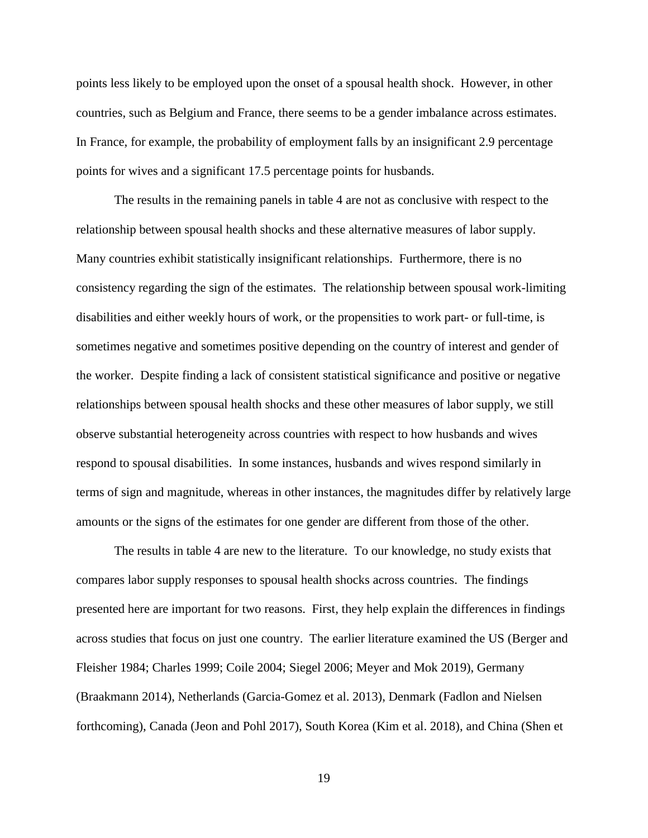points less likely to be employed upon the onset of a spousal health shock. However, in other countries, such as Belgium and France, there seems to be a gender imbalance across estimates. In France, for example, the probability of employment falls by an insignificant 2.9 percentage points for wives and a significant 17.5 percentage points for husbands.

The results in the remaining panels in table 4 are not as conclusive with respect to the relationship between spousal health shocks and these alternative measures of labor supply. Many countries exhibit statistically insignificant relationships. Furthermore, there is no consistency regarding the sign of the estimates. The relationship between spousal work-limiting disabilities and either weekly hours of work, or the propensities to work part- or full-time, is sometimes negative and sometimes positive depending on the country of interest and gender of the worker. Despite finding a lack of consistent statistical significance and positive or negative relationships between spousal health shocks and these other measures of labor supply, we still observe substantial heterogeneity across countries with respect to how husbands and wives respond to spousal disabilities. In some instances, husbands and wives respond similarly in terms of sign and magnitude, whereas in other instances, the magnitudes differ by relatively large amounts or the signs of the estimates for one gender are different from those of the other.

The results in table 4 are new to the literature. To our knowledge, no study exists that compares labor supply responses to spousal health shocks across countries. The findings presented here are important for two reasons. First, they help explain the differences in findings across studies that focus on just one country. The earlier literature examined the US (Berger and Fleisher 1984; Charles 1999; Coile 2004; Siegel 2006; Meyer and Mok 2019), Germany (Braakmann 2014), Netherlands (Garcia-Gomez et al. 2013), Denmark (Fadlon and Nielsen forthcoming), Canada (Jeon and Pohl 2017), South Korea (Kim et al. 2018), and China (Shen et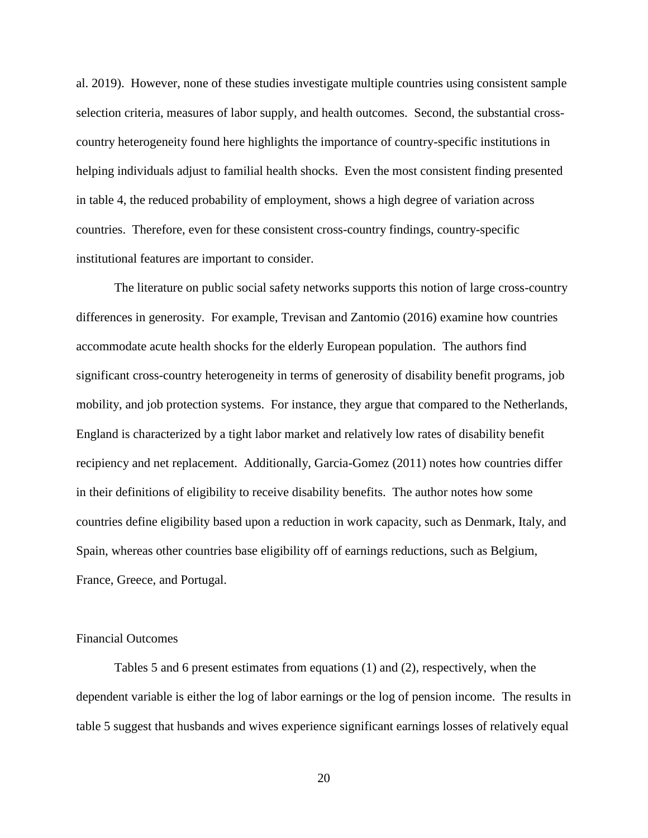al. 2019). However, none of these studies investigate multiple countries using consistent sample selection criteria, measures of labor supply, and health outcomes. Second, the substantial crosscountry heterogeneity found here highlights the importance of country-specific institutions in helping individuals adjust to familial health shocks. Even the most consistent finding presented in table 4, the reduced probability of employment, shows a high degree of variation across countries. Therefore, even for these consistent cross-country findings, country-specific institutional features are important to consider.

The literature on public social safety networks supports this notion of large cross-country differences in generosity. For example, Trevisan and Zantomio (2016) examine how countries accommodate acute health shocks for the elderly European population. The authors find significant cross-country heterogeneity in terms of generosity of disability benefit programs, job mobility, and job protection systems. For instance, they argue that compared to the Netherlands, England is characterized by a tight labor market and relatively low rates of disability benefit recipiency and net replacement. Additionally, Garcia-Gomez (2011) notes how countries differ in their definitions of eligibility to receive disability benefits. The author notes how some countries define eligibility based upon a reduction in work capacity, such as Denmark, Italy, and Spain, whereas other countries base eligibility off of earnings reductions, such as Belgium, France, Greece, and Portugal.

#### Financial Outcomes

Tables 5 and 6 present estimates from equations (1) and (2), respectively, when the dependent variable is either the log of labor earnings or the log of pension income. The results in table 5 suggest that husbands and wives experience significant earnings losses of relatively equal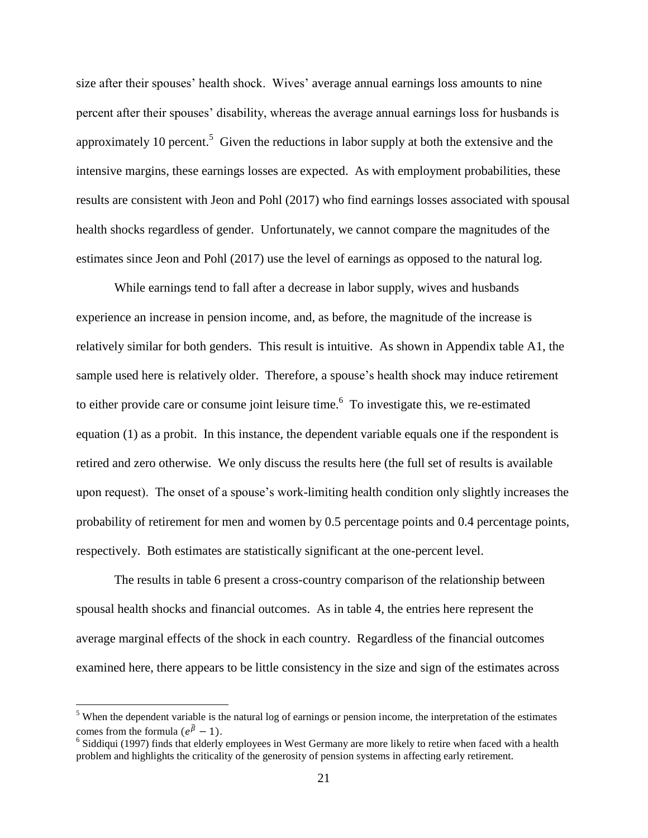size after their spouses' health shock. Wives' average annual earnings loss amounts to nine percent after their spouses' disability, whereas the average annual earnings loss for husbands is approximately 10 percent.<sup>5</sup> Given the reductions in labor supply at both the extensive and the intensive margins, these earnings losses are expected. As with employment probabilities, these results are consistent with Jeon and Pohl (2017) who find earnings losses associated with spousal health shocks regardless of gender. Unfortunately, we cannot compare the magnitudes of the estimates since Jeon and Pohl (2017) use the level of earnings as opposed to the natural log.

While earnings tend to fall after a decrease in labor supply, wives and husbands experience an increase in pension income, and, as before, the magnitude of the increase is relatively similar for both genders. This result is intuitive. As shown in Appendix table A1, the sample used here is relatively older. Therefore, a spouse's health shock may induce retirement to either provide care or consume joint leisure time.<sup>6</sup> To investigate this, we re-estimated equation (1) as a probit. In this instance, the dependent variable equals one if the respondent is retired and zero otherwise. We only discuss the results here (the full set of results is available upon request). The onset of a spouse's work-limiting health condition only slightly increases the probability of retirement for men and women by 0.5 percentage points and 0.4 percentage points, respectively. Both estimates are statistically significant at the one-percent level.

The results in table 6 present a cross-country comparison of the relationship between spousal health shocks and financial outcomes. As in table 4, the entries here represent the average marginal effects of the shock in each country. Regardless of the financial outcomes examined here, there appears to be little consistency in the size and sign of the estimates across

 $\overline{a}$ 

<sup>&</sup>lt;sup>5</sup> When the dependent variable is the natural log of earnings or pension income, the interpretation of the estimates comes from the formula ( $e^{\widehat{\beta}} - 1$ ).<br><sup>6</sup> Siddiqui (1997) finds that elderly employees in West Germany are more likely to retire when faced with a health

problem and highlights the criticality of the generosity of pension systems in affecting early retirement.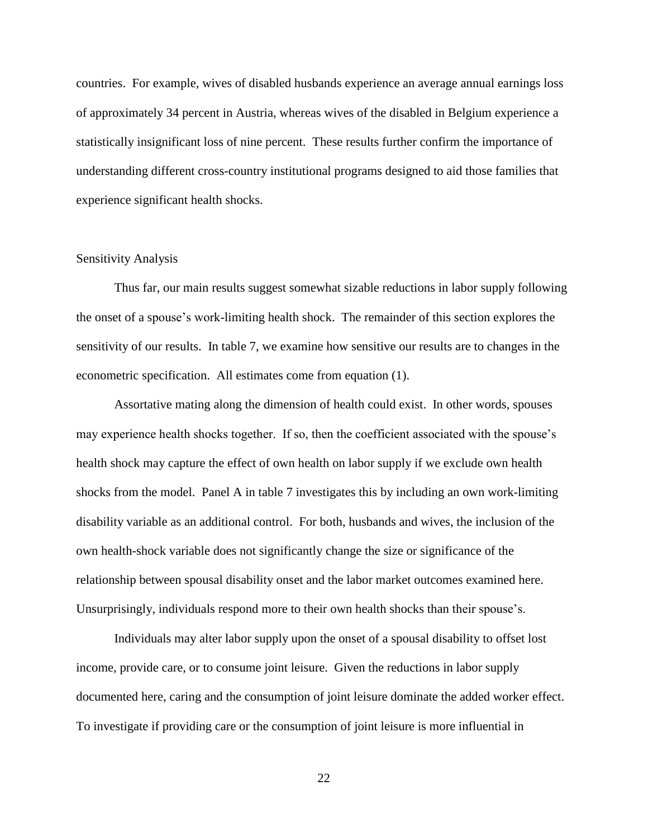countries. For example, wives of disabled husbands experience an average annual earnings loss of approximately 34 percent in Austria, whereas wives of the disabled in Belgium experience a statistically insignificant loss of nine percent. These results further confirm the importance of understanding different cross-country institutional programs designed to aid those families that experience significant health shocks.

#### Sensitivity Analysis

Thus far, our main results suggest somewhat sizable reductions in labor supply following the onset of a spouse's work-limiting health shock. The remainder of this section explores the sensitivity of our results. In table 7, we examine how sensitive our results are to changes in the econometric specification. All estimates come from equation (1).

Assortative mating along the dimension of health could exist. In other words, spouses may experience health shocks together. If so, then the coefficient associated with the spouse's health shock may capture the effect of own health on labor supply if we exclude own health shocks from the model. Panel A in table 7 investigates this by including an own work-limiting disability variable as an additional control. For both, husbands and wives, the inclusion of the own health-shock variable does not significantly change the size or significance of the relationship between spousal disability onset and the labor market outcomes examined here. Unsurprisingly, individuals respond more to their own health shocks than their spouse's.

Individuals may alter labor supply upon the onset of a spousal disability to offset lost income, provide care, or to consume joint leisure. Given the reductions in labor supply documented here, caring and the consumption of joint leisure dominate the added worker effect. To investigate if providing care or the consumption of joint leisure is more influential in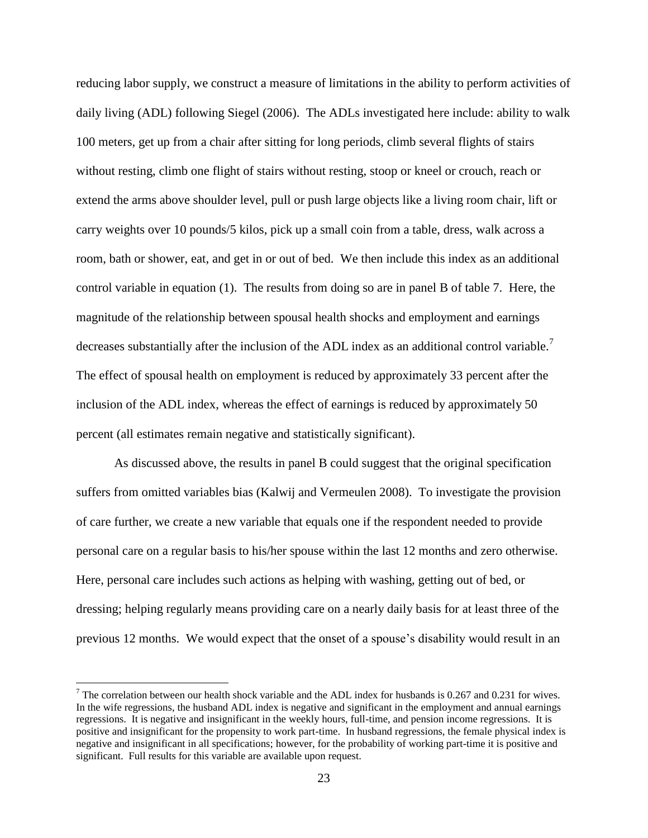reducing labor supply, we construct a measure of limitations in the ability to perform activities of daily living (ADL) following Siegel (2006). The ADLs investigated here include: ability to walk 100 meters, get up from a chair after sitting for long periods, climb several flights of stairs without resting, climb one flight of stairs without resting, stoop or kneel or crouch, reach or extend the arms above shoulder level, pull or push large objects like a living room chair, lift or carry weights over 10 pounds/5 kilos, pick up a small coin from a table, dress, walk across a room, bath or shower, eat, and get in or out of bed. We then include this index as an additional control variable in equation (1). The results from doing so are in panel B of table 7. Here, the magnitude of the relationship between spousal health shocks and employment and earnings decreases substantially after the inclusion of the ADL index as an additional control variable.<sup>7</sup> The effect of spousal health on employment is reduced by approximately 33 percent after the inclusion of the ADL index, whereas the effect of earnings is reduced by approximately 50 percent (all estimates remain negative and statistically significant).

As discussed above, the results in panel B could suggest that the original specification suffers from omitted variables bias (Kalwij and Vermeulen 2008). To investigate the provision of care further, we create a new variable that equals one if the respondent needed to provide personal care on a regular basis to his/her spouse within the last 12 months and zero otherwise. Here, personal care includes such actions as helping with washing, getting out of bed, or dressing; helping regularly means providing care on a nearly daily basis for at least three of the previous 12 months. We would expect that the onset of a spouse's disability would result in an

 $\overline{a}$ 

 $7$  The correlation between our health shock variable and the ADL index for husbands is 0.267 and 0.231 for wives. In the wife regressions, the husband ADL index is negative and significant in the employment and annual earnings regressions. It is negative and insignificant in the weekly hours, full-time, and pension income regressions. It is positive and insignificant for the propensity to work part-time. In husband regressions, the female physical index is negative and insignificant in all specifications; however, for the probability of working part-time it is positive and significant. Full results for this variable are available upon request.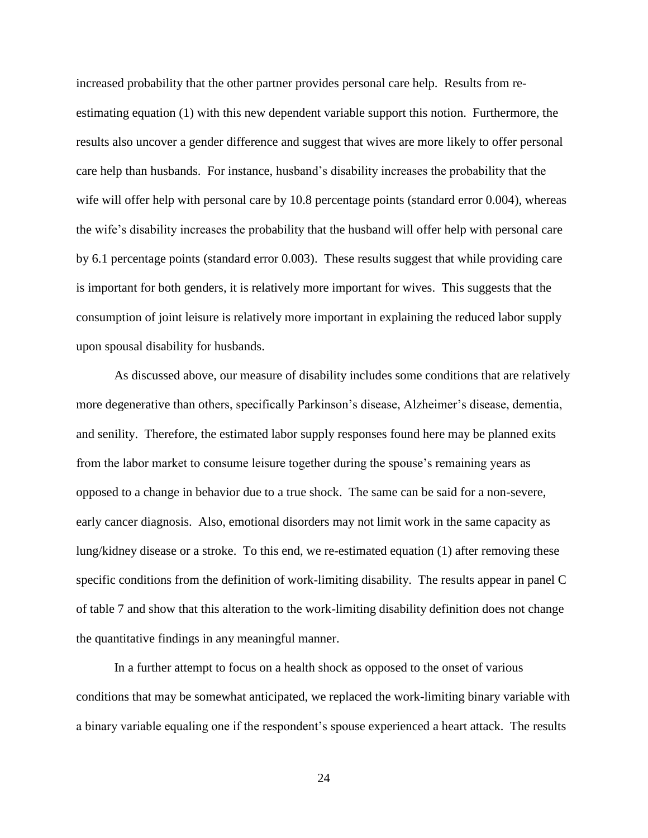increased probability that the other partner provides personal care help. Results from reestimating equation (1) with this new dependent variable support this notion. Furthermore, the results also uncover a gender difference and suggest that wives are more likely to offer personal care help than husbands. For instance, husband's disability increases the probability that the wife will offer help with personal care by 10.8 percentage points (standard error 0.004), whereas the wife's disability increases the probability that the husband will offer help with personal care by 6.1 percentage points (standard error 0.003). These results suggest that while providing care is important for both genders, it is relatively more important for wives. This suggests that the consumption of joint leisure is relatively more important in explaining the reduced labor supply upon spousal disability for husbands.

As discussed above, our measure of disability includes some conditions that are relatively more degenerative than others, specifically Parkinson's disease, Alzheimer's disease, dementia, and senility. Therefore, the estimated labor supply responses found here may be planned exits from the labor market to consume leisure together during the spouse's remaining years as opposed to a change in behavior due to a true shock. The same can be said for a non-severe, early cancer diagnosis. Also, emotional disorders may not limit work in the same capacity as lung/kidney disease or a stroke. To this end, we re-estimated equation (1) after removing these specific conditions from the definition of work-limiting disability. The results appear in panel C of table 7 and show that this alteration to the work-limiting disability definition does not change the quantitative findings in any meaningful manner.

In a further attempt to focus on a health shock as opposed to the onset of various conditions that may be somewhat anticipated, we replaced the work-limiting binary variable with a binary variable equaling one if the respondent's spouse experienced a heart attack. The results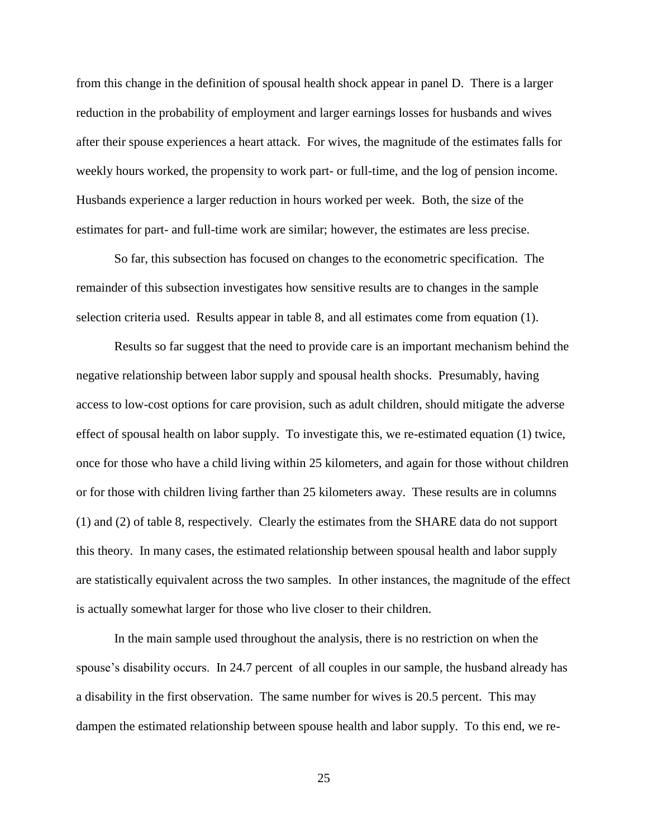from this change in the definition of spousal health shock appear in panel D. There is a larger reduction in the probability of employment and larger earnings losses for husbands and wives after their spouse experiences a heart attack. For wives, the magnitude of the estimates falls for weekly hours worked, the propensity to work part- or full-time, and the log of pension income. Husbands experience a larger reduction in hours worked per week. Both, the size of the estimates for part- and full-time work are similar; however, the estimates are less precise.

So far, this subsection has focused on changes to the econometric specification. The remainder of this subsection investigates how sensitive results are to changes in the sample selection criteria used. Results appear in table 8, and all estimates come from equation (1).

Results so far suggest that the need to provide care is an important mechanism behind the negative relationship between labor supply and spousal health shocks. Presumably, having access to low-cost options for care provision, such as adult children, should mitigate the adverse effect of spousal health on labor supply. To investigate this, we re-estimated equation (1) twice, once for those who have a child living within 25 kilometers, and again for those without children or for those with children living farther than 25 kilometers away. These results are in columns (1) and (2) of table 8, respectively. Clearly the estimates from the SHARE data do not support this theory. In many cases, the estimated relationship between spousal health and labor supply are statistically equivalent across the two samples. In other instances, the magnitude of the effect is actually somewhat larger for those who live closer to their children.

In the main sample used throughout the analysis, there is no restriction on when the spouse's disability occurs. Ιn 24.7 percent of all couples in our sample, the husband already has a disability in the first observation. The same number for wives is 20.5 percent. This may dampen the estimated relationship between spouse health and labor supply. To this end, we re-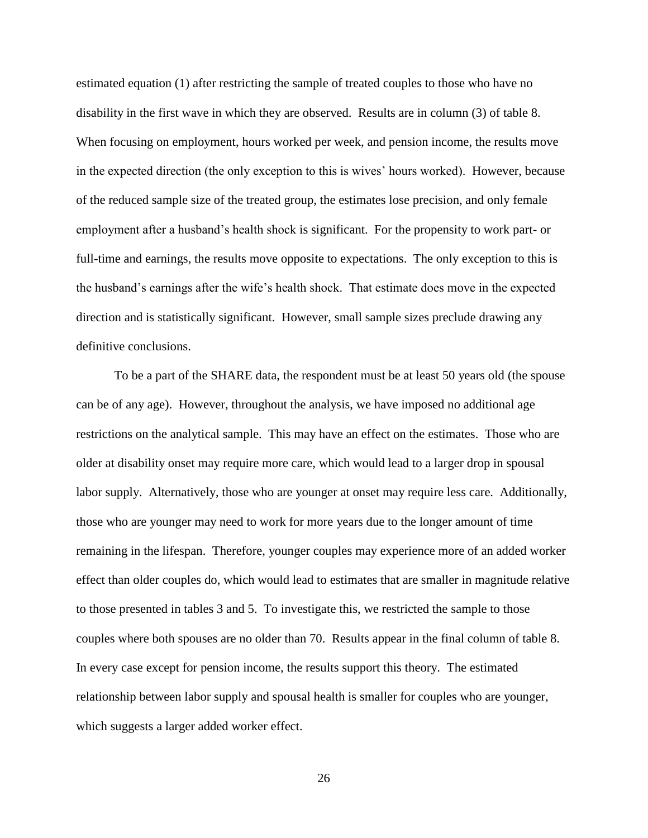estimated equation (1) after restricting the sample of treated couples to those who have no disability in the first wave in which they are observed. Results are in column (3) of table 8. When focusing on employment, hours worked per week, and pension income, the results move in the expected direction (the only exception to this is wives' hours worked). However, because of the reduced sample size of the treated group, the estimates lose precision, and only female employment after a husband's health shock is significant. For the propensity to work part- or full-time and earnings, the results move opposite to expectations. The only exception to this is the husband's earnings after the wife's health shock. That estimate does move in the expected direction and is statistically significant. However, small sample sizes preclude drawing any definitive conclusions.

To be a part of the SHARE data, the respondent must be at least 50 years old (the spouse can be of any age). However, throughout the analysis, we have imposed no additional age restrictions on the analytical sample. This may have an effect on the estimates. Those who are older at disability onset may require more care, which would lead to a larger drop in spousal labor supply. Alternatively, those who are younger at onset may require less care. Additionally, those who are younger may need to work for more years due to the longer amount of time remaining in the lifespan. Therefore, younger couples may experience more of an added worker effect than older couples do, which would lead to estimates that are smaller in magnitude relative to those presented in tables 3 and 5. To investigate this, we restricted the sample to those couples where both spouses are no older than 70. Results appear in the final column of table 8. In every case except for pension income, the results support this theory. The estimated relationship between labor supply and spousal health is smaller for couples who are younger, which suggests a larger added worker effect.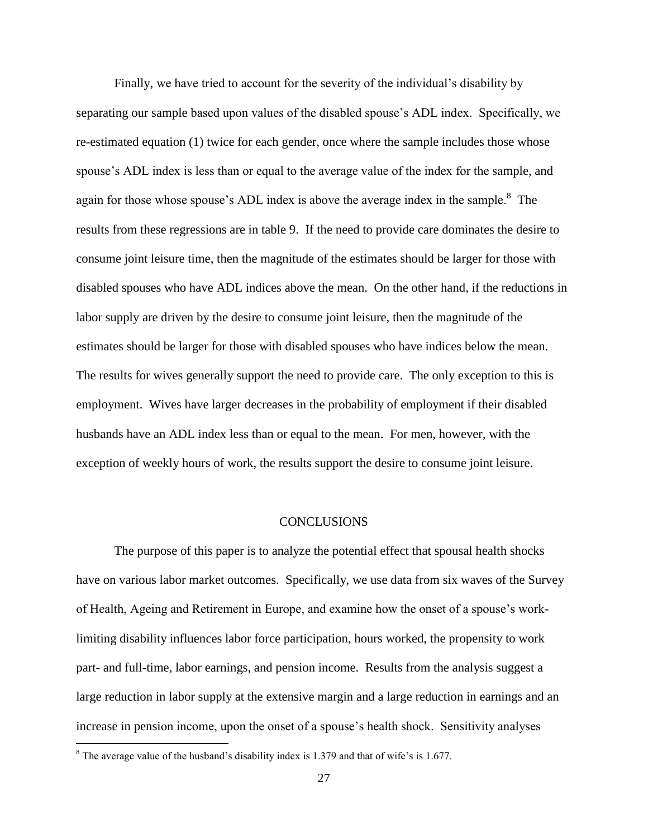Finally, we have tried to account for the severity of the individual's disability by separating our sample based upon values of the disabled spouse's ADL index. Specifically, we re-estimated equation (1) twice for each gender, once where the sample includes those whose spouse's ADL index is less than or equal to the average value of the index for the sample, and again for those whose spouse's ADL index is above the average index in the sample. $8$  The results from these regressions are in table 9. If the need to provide care dominates the desire to consume joint leisure time, then the magnitude of the estimates should be larger for those with disabled spouses who have ADL indices above the mean. On the other hand, if the reductions in labor supply are driven by the desire to consume joint leisure, then the magnitude of the estimates should be larger for those with disabled spouses who have indices below the mean. The results for wives generally support the need to provide care. The only exception to this is employment. Wives have larger decreases in the probability of employment if their disabled husbands have an ADL index less than or equal to the mean. For men, however, with the exception of weekly hours of work, the results support the desire to consume joint leisure.

#### **CONCLUSIONS**

The purpose of this paper is to analyze the potential effect that spousal health shocks have on various labor market outcomes. Specifically, we use data from six waves of the Survey of Health, Ageing and Retirement in Europe, and examine how the onset of a spouse's worklimiting disability influences labor force participation, hours worked, the propensity to work part- and full-time, labor earnings, and pension income. Results from the analysis suggest a large reduction in labor supply at the extensive margin and a large reduction in earnings and an increase in pension income, upon the onset of a spouse's health shock. Sensitivity analyses

 $\overline{a}$ 

<sup>&</sup>lt;sup>8</sup> The average value of the husband's disability index is 1.379 and that of wife's is 1.677.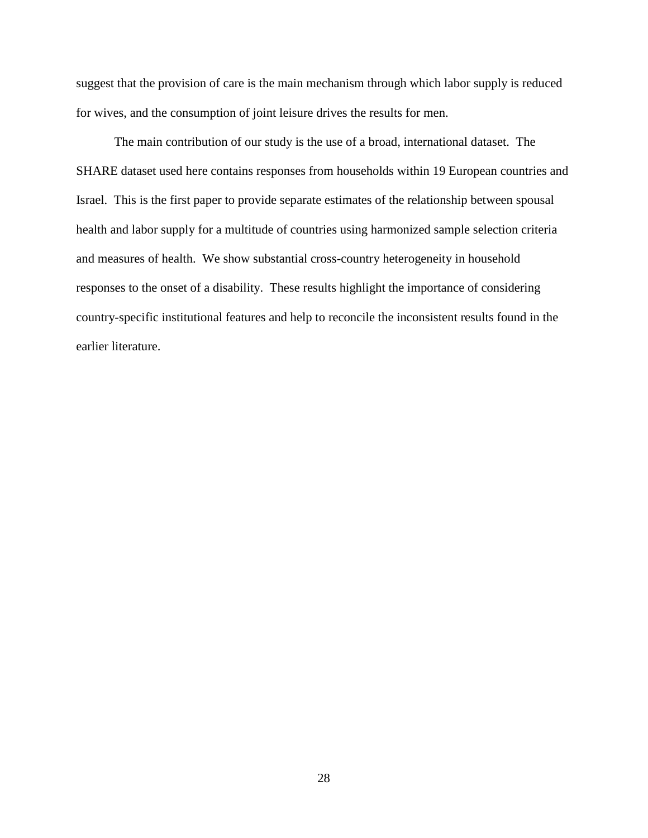suggest that the provision of care is the main mechanism through which labor supply is reduced for wives, and the consumption of joint leisure drives the results for men.

The main contribution of our study is the use of a broad, international dataset. The SHARE dataset used here contains responses from households within 19 European countries and Israel. This is the first paper to provide separate estimates of the relationship between spousal health and labor supply for a multitude of countries using harmonized sample selection criteria and measures of health. We show substantial cross-country heterogeneity in household responses to the onset of a disability. These results highlight the importance of considering country-specific institutional features and help to reconcile the inconsistent results found in the earlier literature.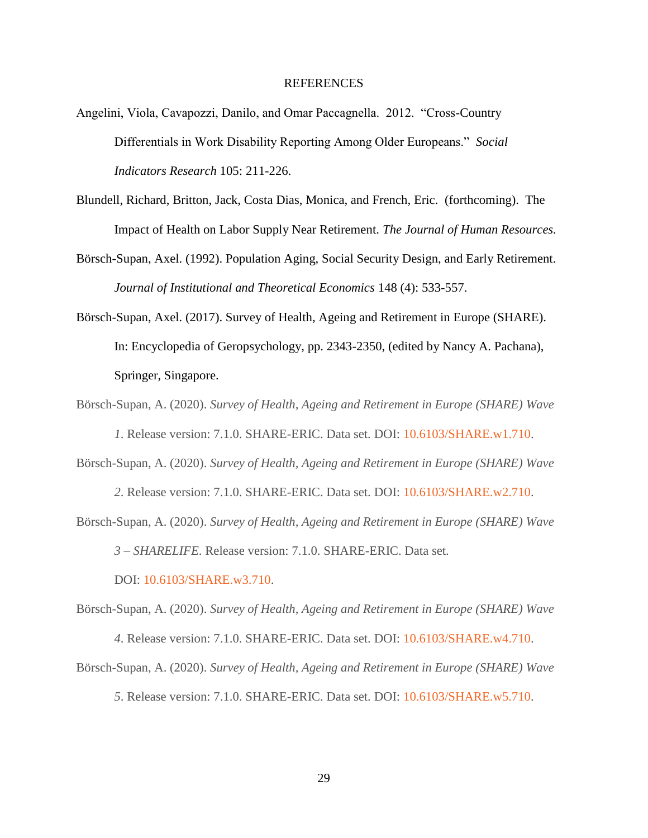#### REFERENCES

- Angelini, Viola, Cavapozzi, Danilo, and Omar Paccagnella. 2012. "Cross-Country Differentials in Work Disability Reporting Among Older Europeans." *Social Indicators Research* 105: 211-226.
- Blundell, Richard, Britton, Jack, Costa Dias, Monica, and French, Eric. (forthcoming). The Impact of Health on Labor Supply Near Retirement. *The Journal of Human Resources.*
- Börsch-Supan, Axel. (1992). Population Aging, Social Security Design, and Early Retirement. *Journal of Institutional and Theoretical Economics* 148 (4): 533-557.
- Börsch-Supan, Axel. (2017). Survey of Health, Ageing and Retirement in Europe (SHARE). In: Encyclopedia of Geropsychology, pp. 2343-2350, (edited by Nancy A. Pachana), Springer, Singapore.
- Börsch-Supan, A. (2020). *Survey of Health, Ageing and Retirement in Europe (SHARE) Wave 1*. Release version: 7.1.0. SHARE-ERIC. Data set. DOI: [10.6103/SHARE.w1.710.](http://dx.doi.org/10.6103/SHARE.w1.710)
- Börsch-Supan, A. (2020). *Survey of Health, Ageing and Retirement in Europe (SHARE) Wave* 
	- *2*. Release version: 7.1.0. SHARE-ERIC. Data set. DOI: [10.6103/SHARE.w2.710.](http://dx.doi.org/10.6103/SHARE.w2.710)

Börsch-Supan, A. (2020). *Survey of Health, Ageing and Retirement in Europe (SHARE) Wave* 

*3* – *SHARELIFE*. Release version: 7.1.0. SHARE-ERIC. Data set.

DOI: [10.6103/SHARE.w3.710.](http://dx.doi.org/10.6103/SHARE.w3.710)

Börsch-Supan, A. (2020). *Survey of Health, Ageing and Retirement in Europe (SHARE) Wave 4*. Release version: 7.1.0. SHARE-ERIC. Data set. DOI: [10.6103/SHARE.w4.710.](http://dx.doi.org/10.6103/SHARE.w4.710) Börsch-Supan, A. (2020). *Survey of Health, Ageing and Retirement in Europe (SHARE) Wave 5*. Release version: 7.1.0. SHARE-ERIC. Data set. DOI: [10.6103/SHARE.w5.710.](http://dx.doi.org/10.6103/SHARE.w5.710)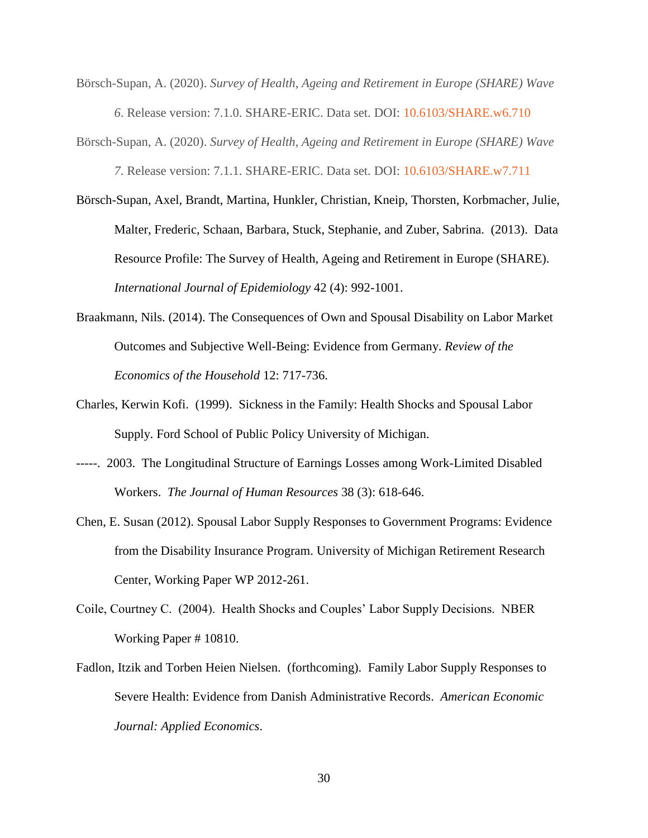- Börsch-Supan, A. (2020). *Survey of Health, Ageing and Retirement in Europe (SHARE) Wave 6*. Release version: 7.1.0. SHARE-ERIC. Data set. DOI: [10.6103/SHARE.w6.710](http://dx.doi.org/10.6103/SHARE.w6.710)
- Börsch-Supan, A. (2020). *Survey of Health, Ageing and Retirement in Europe (SHARE) Wave*

*7*. Release version: 7.1.1. SHARE-ERIC. Data set. DOI: [10.6103/SHARE.w7.711](http://dx.doi.org/10.6103/SHARE.w7.711)

- Börsch-Supan, Axel, Brandt, Martina, Hunkler, Christian, Kneip, Thorsten, Korbmacher, Julie, Malter, Frederic, Schaan, Barbara, Stuck, Stephanie, and Zuber, Sabrina. (2013). Data Resource Profile: The Survey of Health, Ageing and Retirement in Europe (SHARE). *International Journal of Epidemiology* 42 (4): 992-1001.
- Braakmann, Nils. (2014). The Consequences of Own and Spousal Disability on Labor Market Outcomes and Subjective Well-Being: Evidence from Germany. *Review of the Economics of the Household* 12: 717-736.
- Charles, Kerwin Kofi. (1999). Sickness in the Family: Health Shocks and Spousal Labor Supply. Ford School of Public Policy University of Michigan.
- -----. 2003. The Longitudinal Structure of Earnings Losses among Work-Limited Disabled Workers. *The Journal of Human Resources* 38 (3): 618-646.
- Chen, E. Susan (2012). Spousal Labor Supply Responses to Government Programs: Evidence from the Disability Insurance Program. University of Michigan Retirement Research Center, Working Paper WP 2012-261.
- Coile, Courtney C. (2004). Health Shocks and Couples' Labor Supply Decisions. NBER Working Paper # 10810.
- Fadlon, Itzik and Torben Heien Nielsen. (forthcoming). Family Labor Supply Responses to Severe Health: Evidence from Danish Administrative Records. *American Economic Journal: Applied Economics*.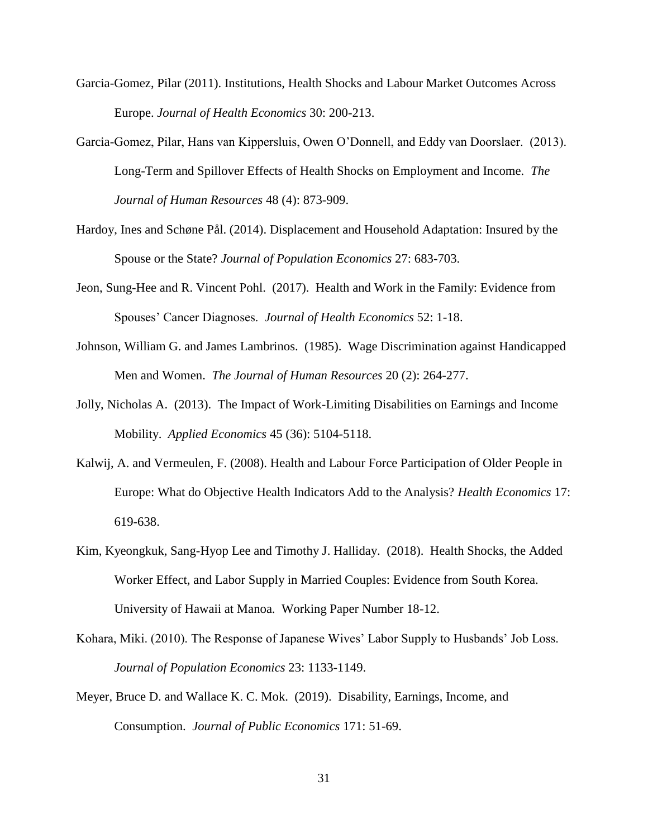- Garcia-Gomez, Pilar (2011). Institutions, Health Shocks and Labour Market Outcomes Across Europe. *Journal of Health Economics* 30: 200-213.
- Garcia-Gomez, Pilar, Hans van Kippersluis, Owen O'Donnell, and Eddy van Doorslaer. (2013). Long-Term and Spillover Effects of Health Shocks on Employment and Income. *The Journal of Human Resources* 48 (4): 873-909.
- Hardoy, Ines and Schøne Pål. (2014). Displacement and Household Adaptation: Insured by the Spouse or the State? *Journal of Population Economics* 27: 683-703.
- Jeon, Sung-Hee and R. Vincent Pohl. (2017). Health and Work in the Family: Evidence from Spouses' Cancer Diagnoses. *Journal of Health Economics* 52: 1-18.
- Johnson, William G. and James Lambrinos. (1985). Wage Discrimination against Handicapped Men and Women. *The Journal of Human Resources* 20 (2): 264-277.
- Jolly, Nicholas A. (2013). The Impact of Work-Limiting Disabilities on Earnings and Income Mobility. *Applied Economics* 45 (36): 5104-5118.
- Kalwij, A. and Vermeulen, F. (2008). Health and Labour Force Participation of Older People in Europe: What do Objective Health Indicators Add to the Analysis? *Health Economics* 17: 619-638.
- Kim, Kyeongkuk, Sang-Hyop Lee and Timothy J. Halliday. (2018). Health Shocks, the Added Worker Effect, and Labor Supply in Married Couples: Evidence from South Korea. University of Hawaii at Manoa. Working Paper Number 18-12.
- Kohara, Miki. (2010). The Response of Japanese Wives' Labor Supply to Husbands' Job Loss. *Journal of Population Economics* 23: 1133-1149.
- Meyer, Bruce D. and Wallace K. C. Mok. (2019). Disability, Earnings, Income, and Consumption. *Journal of Public Economics* 171: 51-69.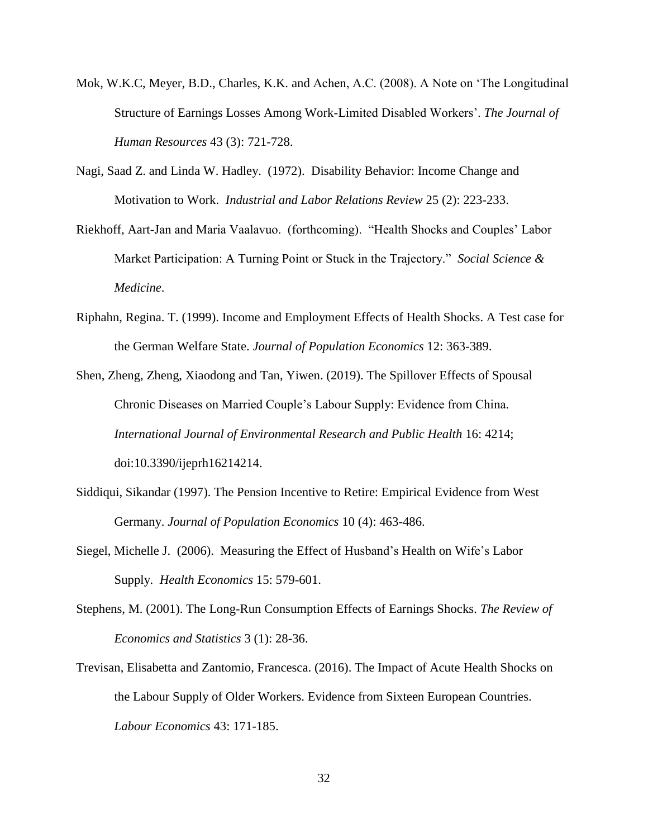- Mok, W.K.C, Meyer, B.D., Charles, K.K. and Achen, A.C. (2008). A Note on 'The Longitudinal Structure of Earnings Losses Among Work-Limited Disabled Workers'. *The Journal of Human Resources* 43 (3): 721-728.
- Nagi, Saad Z. and Linda W. Hadley. (1972). Disability Behavior: Income Change and Motivation to Work. *Industrial and Labor Relations Review* 25 (2): 223-233.
- Riekhoff, Aart-Jan and Maria Vaalavuo. (forthcoming). "Health Shocks and Couples' Labor Market Participation: A Turning Point or Stuck in the Trajectory." *Social Science & Medicine*.
- Riphahn, Regina. T. (1999). Income and Employment Effects of Health Shocks. A Test case for the German Welfare State. *Journal of Population Economics* 12: 363-389.
- Shen, Zheng, Zheng, Xiaodong and Tan, Yiwen. (2019). The Spillover Effects of Spousal Chronic Diseases on Married Couple's Labour Supply: Evidence from China. *International Journal of Environmental Research and Public Health* 16: 4214; doi:10.3390/ijeprh16214214.
- Siddiqui, Sikandar (1997). The Pension Incentive to Retire: Empirical Evidence from West Germany. *Journal of Population Economics* 10 (4): 463-486.
- Siegel, Michelle J. (2006). Measuring the Effect of Husband's Health on Wife's Labor Supply. *Health Economics* 15: 579-601.
- Stephens, M. (2001). The Long-Run Consumption Effects of Earnings Shocks. *The Review of Economics and Statistics* 3 (1): 28-36.
- Trevisan, Elisabetta and Zantomio, Francesca. (2016). The Impact of Acute Health Shocks on the Labour Supply of Older Workers. Evidence from Sixteen European Countries. *Labour Economics* 43: 171-185.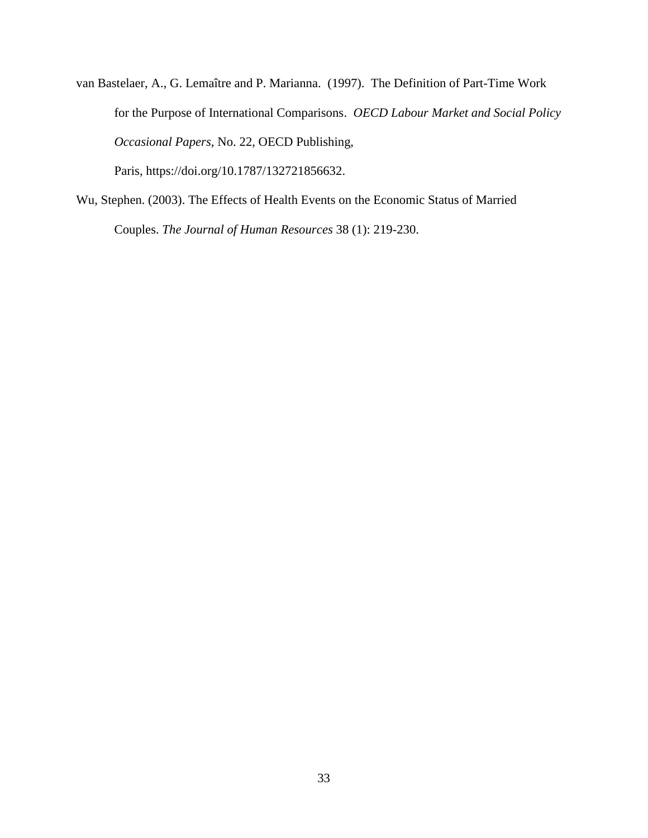van Bastelaer, A., G. Lemaître and P. Marianna. (1997). The Definition of Part-Time Work for the Purpose of International Comparisons. *OECD Labour Market and Social Policy Occasional Papers*, No. 22, OECD Publishing,

Paris, [https://doi.org/10.1787/132721856632.](https://doi.org/10.1787/132721856632)

Wu, Stephen. (2003). The Effects of Health Events on the Economic Status of Married Couples. *The Journal of Human Resources* 38 (1): 219-230.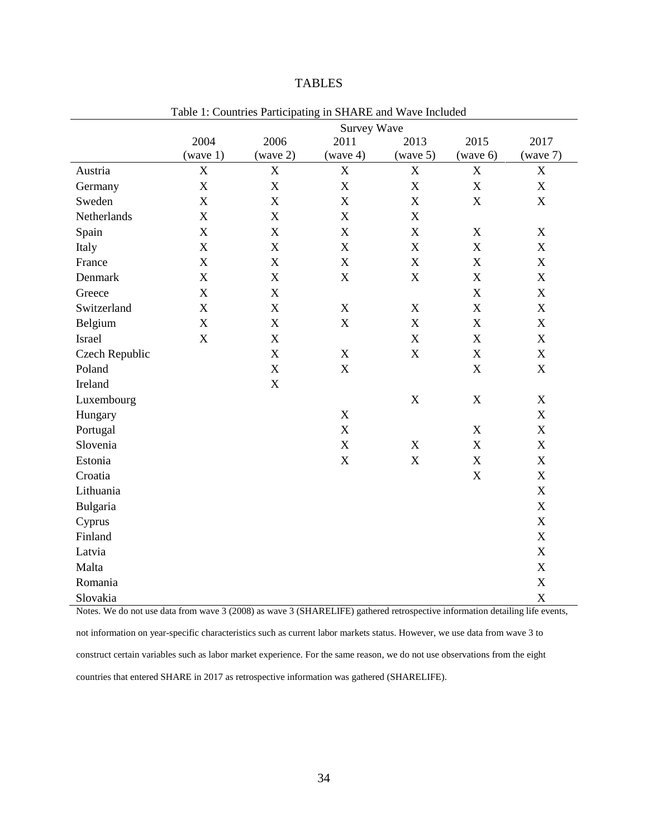| . . |  |
|-----|--|
|-----|--|

|                | Table 1: Countries Participating in SHARE and wave included<br><b>Survey Wave</b> |                  |                  |                           |                  |                           |  |  |  |
|----------------|-----------------------------------------------------------------------------------|------------------|------------------|---------------------------|------------------|---------------------------|--|--|--|
|                | 2004                                                                              | 2017             |                  |                           |                  |                           |  |  |  |
|                | (wave 1)                                                                          | 2006<br>(wave 2) | 2011<br>(wave 4) | 2013<br>(wave 5)          | 2015<br>(wave 6) | (wave 7)                  |  |  |  |
| Austria        | X                                                                                 | X                | $\mathbf X$      | $\boldsymbol{\mathrm{X}}$ | $\mathbf X$      | $\mathbf X$               |  |  |  |
| Germany        | $\mathbf X$                                                                       | $\mathbf X$      | $\mathbf X$      | $\mathbf X$               | $\mathbf X$      | $\boldsymbol{\mathrm{X}}$ |  |  |  |
| Sweden         | $\mathbf X$                                                                       | $\mathbf X$      | $\mathbf X$      | $\mathbf X$               | $\mathbf X$      | $\mathbf X$               |  |  |  |
| Netherlands    | $\mathbf X$                                                                       | $\mathbf X$      | $\mathbf X$      | $\mathbf X$               |                  |                           |  |  |  |
| Spain          | $\mathbf X$                                                                       | $\mathbf X$      | $\mathbf X$      | $\mathbf X$               | $\mathbf X$      | $\mathbf X$               |  |  |  |
| Italy          | $\mathbf X$                                                                       | $\mathbf X$      | $\mathbf X$      | $\mathbf X$               | $\mathbf X$      | $\mathbf X$               |  |  |  |
| France         | $\mathbf X$                                                                       | $\mathbf X$      | $\mathbf X$      | $\boldsymbol{\mathrm{X}}$ | $\mathbf X$      | $\mathbf X$               |  |  |  |
| Denmark        | $\mathbf X$                                                                       | $\mathbf X$      | $\mathbf X$      | $\mathbf X$               | $\mathbf X$      | $\boldsymbol{\mathrm{X}}$ |  |  |  |
| Greece         | $\mathbf X$                                                                       | $\mathbf X$      |                  |                           | $\mathbf X$      | $\boldsymbol{\mathrm{X}}$ |  |  |  |
| Switzerland    | $\mathbf X$                                                                       | $\mathbf X$      | $\mathbf X$      | $\mathbf X$               | $\mathbf X$      | $\mathbf X$               |  |  |  |
| Belgium        | $\mathbf X$                                                                       | $\mathbf X$      | $\mathbf X$      | $\boldsymbol{\mathrm{X}}$ | $\mathbf X$      | $\boldsymbol{\mathrm{X}}$ |  |  |  |
| Israel         | $\mathbf X$                                                                       | $\mathbf X$      |                  | $\mathbf X$               | $\mathbf X$      | $\mathbf X$               |  |  |  |
| Czech Republic |                                                                                   | $\mathbf X$      | $\mathbf X$      | $\mathbf X$               | $\mathbf X$      | $\mathbf X$               |  |  |  |
| Poland         |                                                                                   | $\mathbf X$      | $\mathbf X$      |                           | $\mathbf X$      | $\mathbf X$               |  |  |  |
| Ireland        |                                                                                   | $\mathbf X$      |                  |                           |                  |                           |  |  |  |
| Luxembourg     |                                                                                   |                  |                  | $\mathbf X$               | $\mathbf X$      | $\mathbf X$               |  |  |  |
| Hungary        |                                                                                   |                  | $\mathbf X$      |                           |                  | $\boldsymbol{\mathrm{X}}$ |  |  |  |
| Portugal       |                                                                                   |                  | $\mathbf X$      |                           | $\mathbf X$      | $\mathbf X$               |  |  |  |
| Slovenia       |                                                                                   |                  | $\mathbf X$      | $\boldsymbol{\mathrm{X}}$ | $\mathbf X$      | $\mathbf X$               |  |  |  |
| Estonia        |                                                                                   |                  | $\mathbf X$      | $\mathbf X$               | $\mathbf X$      | $\mathbf X$               |  |  |  |
| Croatia        |                                                                                   |                  |                  |                           | $\mathbf X$      | $\mathbf X$               |  |  |  |
| Lithuania      |                                                                                   |                  |                  |                           |                  | $\mathbf X$               |  |  |  |
| Bulgaria       |                                                                                   |                  |                  |                           |                  | $\mathbf X$               |  |  |  |
| Cyprus         |                                                                                   |                  |                  |                           |                  | $\mathbf X$               |  |  |  |
| Finland        |                                                                                   |                  |                  |                           |                  | $\boldsymbol{\mathrm{X}}$ |  |  |  |
| Latvia         |                                                                                   |                  |                  |                           |                  | $\mathbf X$               |  |  |  |
| Malta          |                                                                                   |                  |                  |                           |                  | $\mathbf X$               |  |  |  |
| Romania        |                                                                                   |                  |                  |                           |                  | $\mathbf X$               |  |  |  |
| Slovakia       |                                                                                   |                  |                  |                           |                  | $\mathbf X$               |  |  |  |

Table 1: Countries Participating in SHARE and Wave Included

Notes. We do not use data from wave 3 (2008) as wave 3 (SHARELIFE) gathered retrospective information detailing life events,

not information on year-specific characteristics such as current labor markets status. However, we use data from wave 3 to construct certain variables such as labor market experience. For the same reason, we do not use observations from the eight countries that entered SHARE in 2017 as retrospective information was gathered (SHARELIFE).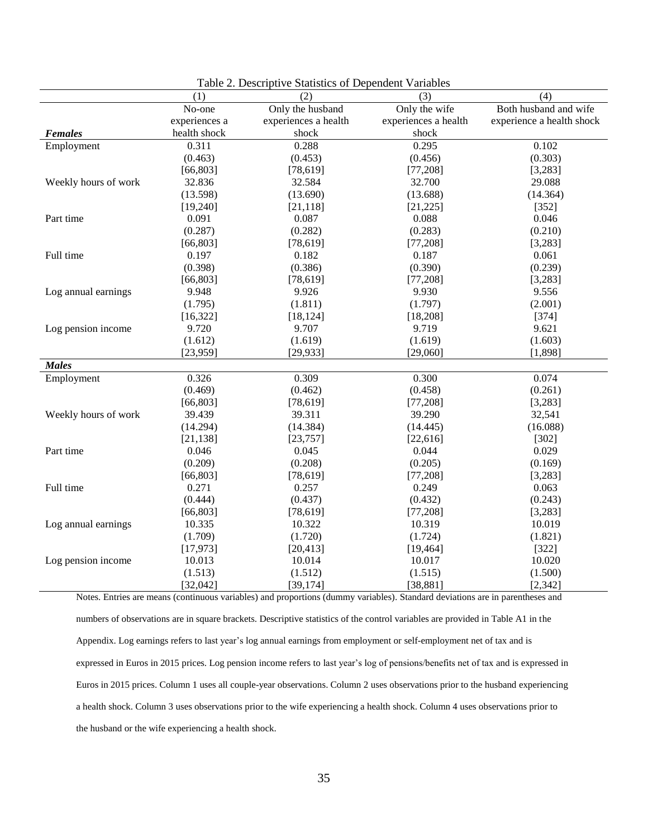|                      | (1)           | (2)                                                                                                                           | (3)                  | (4)                       |
|----------------------|---------------|-------------------------------------------------------------------------------------------------------------------------------|----------------------|---------------------------|
|                      | No-one        | Only the husband                                                                                                              | Only the wife        | Both husband and wife     |
|                      | experiences a | experiences a health                                                                                                          | experiences a health | experience a health shock |
| <b>Females</b>       | health shock  | shock                                                                                                                         | shock                |                           |
| Employment           | 0.311         | 0.288                                                                                                                         | 0.295                | 0.102                     |
|                      | (0.463)       | (0.453)                                                                                                                       | (0.456)              | (0.303)                   |
|                      | [66, 803]     | [78, 619]                                                                                                                     | [77, 208]            | [3,283]                   |
| Weekly hours of work | 32.836        | 32.584                                                                                                                        | 32.700               | 29.088                    |
|                      | (13.598)      | (13.690)                                                                                                                      | (13.688)             | (14.364)                  |
|                      | [19,240]      | [21, 118]                                                                                                                     | [21, 225]            | $[352]$                   |
| Part time            | 0.091         | 0.087                                                                                                                         | 0.088                | 0.046                     |
|                      | (0.287)       | (0.282)                                                                                                                       | (0.283)              | (0.210)                   |
|                      | [66, 803]     | [78, 619]                                                                                                                     | [77, 208]            | [3,283]                   |
| Full time            | 0.197         | 0.182                                                                                                                         | 0.187                | 0.061                     |
|                      | (0.398)       | (0.386)                                                                                                                       | (0.390)              | (0.239)                   |
|                      | [66, 803]     | [78, 619]                                                                                                                     | [77, 208]            | [3,283]                   |
| Log annual earnings  | 9.948         | 9.926                                                                                                                         | 9.930                | 9.556                     |
|                      | (1.795)       | (1.811)                                                                                                                       | (1.797)              | (2.001)                   |
|                      | [16, 322]     | [18, 124]                                                                                                                     | [18, 208]            | [374]                     |
| Log pension income   | 9.720         | 9.707                                                                                                                         | 9.719                | 9.621                     |
|                      | (1.612)       | (1.619)                                                                                                                       | (1.619)              | (1.603)                   |
|                      | [23, 959]     | [29, 933]                                                                                                                     | [29,060]             | [1,898]                   |
| <b>Males</b>         |               |                                                                                                                               |                      |                           |
| Employment           | 0.326         | 0.309                                                                                                                         | 0.300                | 0.074                     |
|                      | (0.469)       | (0.462)                                                                                                                       | (0.458)              | (0.261)                   |
|                      | [66, 803]     | [78, 619]                                                                                                                     | [77, 208]            | [3,283]                   |
| Weekly hours of work | 39.439        | 39.311                                                                                                                        | 39.290               | 32,541                    |
|                      | (14.294)      | (14.384)                                                                                                                      | (14.445)             | (16.088)                  |
|                      | [21, 138]     | [23,757]                                                                                                                      | [22, 616]            | $[302]$                   |
| Part time            | 0.046         | 0.045                                                                                                                         | 0.044                | 0.029                     |
|                      | (0.209)       | (0.208)                                                                                                                       | (0.205)              | (0.169)                   |
|                      | [66, 803]     | [78, 619]                                                                                                                     | [77, 208]            | [3, 283]                  |
| Full time            | 0.271         | 0.257                                                                                                                         | 0.249                | 0.063                     |
|                      | (0.444)       | (0.437)                                                                                                                       | (0.432)              | (0.243)                   |
|                      | [66, 803]     | [78, 619]                                                                                                                     | [77, 208]            | [3,283]                   |
| Log annual earnings  | 10.335        | 10.322                                                                                                                        | 10.319               | 10.019                    |
|                      | (1.709)       | (1.720)                                                                                                                       | (1.724)              | (1.821)                   |
|                      | [17, 973]     | [20, 413]                                                                                                                     | [19, 464]            | $[322]$                   |
| Log pension income   | 10.013        | 10.014                                                                                                                        | 10.017               | 10.020                    |
|                      | (1.513)       | (1.512)                                                                                                                       | (1.515)              | (1.500)                   |
|                      | [32,042]      | [39, 174]                                                                                                                     | [38, 881]            | [2, 342]                  |
|                      |               | Notes. Entries are means (continuous variables) and proportions (dummy variables). Standard deviations are in parentheses and |                      |                           |

Table 2. Descriptive Statistics of Dependent Variables

numbers of observations are in square brackets. Descriptive statistics of the control variables are provided in Table A1 in the Appendix. Log earnings refers to last year's log annual earnings from employment or self-employment net of tax and is expressed in Euros in 2015 prices. Log pension income refers to last year's log of pensions/benefits net of tax and is expressed in Euros in 2015 prices. Column 1 uses all couple-year observations. Column 2 uses observations prior to the husband experiencing a health shock. Column 3 uses observations prior to the wife experiencing a health shock. Column 4 uses observations prior to the husband or the wife experiencing a health shock.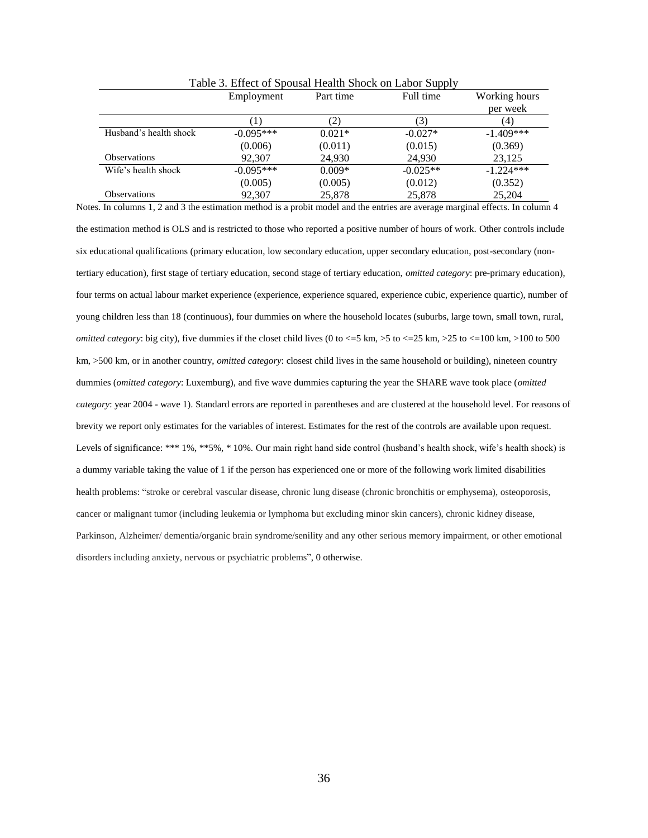|                        | Employment   | Part time | Full time  | Working hours |
|------------------------|--------------|-----------|------------|---------------|
|                        |              |           |            | per week      |
|                        | $\mathbf{I}$ |           | 3)         | (4)           |
| Husband's health shock | $-0.095***$  | $0.021*$  | $-0.027*$  | $-1.409***$   |
|                        | (0.006)      | (0.011)   | (0.015)    | (0.369)       |
| <b>Observations</b>    | 92,307       | 24,930    | 24,930     | 23,125        |
| Wife's health shock    | $-0.095***$  | $0.009*$  | $-0.025**$ | $-1.224***$   |
|                        | (0.005)      | (0.005)   | (0.012)    | (0.352)       |
| <b>Observations</b>    | 92,307       | 25,878    | 25,878     | 25,204        |

Table 3. Effect of Spousal Health Shock on Labor Supply

Notes. In columns 1, 2 and 3 the estimation method is a probit model and the entries are average marginal effects. In column 4 the estimation method is OLS and is restricted to those who reported a positive number of hours of work. Other controls include six educational qualifications (primary education, low secondary education, upper secondary education, post-secondary (nontertiary education), first stage of tertiary education, second stage of tertiary education, *omitted category*: pre-primary education), four terms on actual labour market experience (experience, experience squared, experience cubic, experience quartic), number of young children less than 18 (continuous), four dummies on where the household locates (suburbs, large town, small town, rural, *omitted category*: big city), five dummies if the closet child lives (0 to  $\leq$  =5 km,  $>$ 5 to  $\leq$  =25 km,  $\geq$ 25 to  $\leq$  =100 km,  $\geq$ 100 to 500 km, >500 km, or in another country, *omitted category*: closest child lives in the same household or building), nineteen country dummies (*omitted category*: Luxemburg), and five wave dummies capturing the year the SHARE wave took place (*omitted category*: year 2004 - wave 1). Standard errors are reported in parentheses and are clustered at the household level. For reasons of brevity we report only estimates for the variables of interest. Estimates for the rest of the controls are available upon request. Levels of significance: \*\*\* 1%, \*\*5%, \* 10%. Our main right hand side control (husband's health shock, wife's health shock) is a dummy variable taking the value of 1 if the person has experienced one or more of the following work limited disabilities health problems: "stroke or cerebral vascular disease, chronic lung disease (chronic bronchitis or emphysema), osteoporosis, cancer or malignant tumor (including leukemia or lymphoma but excluding minor skin cancers), chronic kidney disease, Parkinson, Alzheimer/ dementia/organic brain syndrome/senility and any other serious memory impairment, or other emotional disorders including anxiety, nervous or psychiatric problems", 0 otherwise.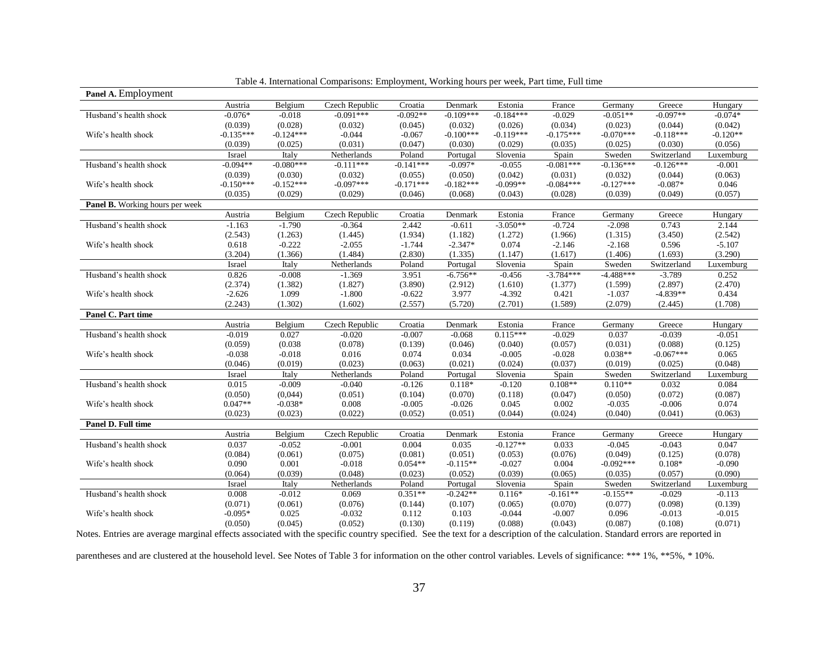| Panel A. Employment             |             |             |                |             |             |             |             |             |             |            |
|---------------------------------|-------------|-------------|----------------|-------------|-------------|-------------|-------------|-------------|-------------|------------|
|                                 | Austria     | Belgium     | Czech Republic | Croatia     | Denmark     | Estonia     | France      | Germany     | Greece      | Hungary    |
| Husband's health shock          | $-0.076*$   | $-0.018$    | $-0.091***$    | $-0.092**$  | $-0.109***$ | $-0.184***$ | $-0.029$    | $-0.051**$  | $-0.097**$  | $-0.074*$  |
|                                 | (0.039)     | (0.028)     | (0.032)        | (0.045)     | (0.032)     | (0.026)     | (0.034)     | (0.023)     | (0.044)     | (0.042)    |
| Wife's health shock             | $-0.135***$ | $-0.124***$ | $-0.044$       | $-0.067$    | $-0.100***$ | $-0.119***$ | $-0.175***$ | $-0.070***$ | $-0.118***$ | $-0.120**$ |
|                                 | (0.039)     | (0.025)     | (0.031)        | (0.047)     | (0.030)     | (0.029)     | (0.035)     | (0.025)     | (0.030)     | (0.056)    |
|                                 | Israel      | Italy       | Netherlands    | Poland      | Portugal    | Slovenia    | Spain       | Sweden      | Switzerland | Luxemburg  |
| Husband's health shock          | $-0.094**$  | $-0.080***$ | $-0.111***$    | $-0.141***$ | $-0.097*$   | $-0.055$    | $-0.081***$ | $-0.136***$ | $-0.126***$ | $-0.001$   |
|                                 | (0.039)     | (0.030)     | (0.032)        | (0.055)     | (0.050)     | (0.042)     | (0.031)     | (0.032)     | (0.044)     | (0.063)    |
| Wife's health shock             | $-0.150***$ | $-0.152***$ | $-0.097***$    | $-0.171***$ | $-0.182***$ | $-0.099**$  | $-0.084***$ | $-0.127***$ | $-0.087*$   | 0.046      |
|                                 | (0.035)     | (0.029)     | (0.029)        | (0.046)     | (0.068)     | (0.043)     | (0.028)     | (0.039)     | (0.049)     | (0.057)    |
| Panel B. Working hours per week |             |             |                |             |             |             |             |             |             |            |
|                                 | Austria     | Belgium     | Czech Republic | Croatia     | Denmark     | Estonia     | France      | Germany     | Greece      | Hungary    |
| Husband's health shock          | $-1.163$    | $-1.790$    | $-0.364$       | 2.442       | $-0.611$    | $-3.050**$  | $-0.724$    | $-2.098$    | 0.743       | 2.144      |
|                                 | (2.543)     | (1.263)     | (1.445)        | (1.934)     | (1.182)     | (1.272)     | (1.966)     | (1.315)     | (3.450)     | (2.542)    |
| Wife's health shock             | 0.618       | $-0.222$    | $-2.055$       | $-1.744$    | $-2.347*$   | 0.074       | $-2.146$    | $-2.168$    | 0.596       | $-5.107$   |
|                                 | (3.204)     | (1.366)     | (1.484)        | (2.830)     | (1.335)     | (1.147)     | (1.617)     | (1.406)     | (1.693)     | (3.290)    |
|                                 | Israel      | Italy       | Netherlands    | Poland      | Portugal    | Slovenia    | Spain       | Sweden      | Switzerland | Luxemburg  |
| Husband's health shock          | 0.826       | $-0.008$    | $-1.369$       | 3.951       | $-6.756**$  | $-0.456$    | $-3.784***$ | $-4.488***$ | $-3.789$    | 0.252      |
|                                 | (2.374)     | (1.382)     | (1.827)        | (3.890)     | (2.912)     | (1.610)     | (1.377)     | (1.599)     | (2.897)     | (2.470)    |
| Wife's health shock             | $-2.626$    | 1.099       | $-1.800$       | $-0.622$    | 3.977       | $-4.392$    | 0.421       | $-1.037$    | $-4.839**$  | 0.434      |
|                                 | (2.243)     | (1.302)     | (1.602)        | (2.557)     | (5.720)     | (2.701)     | (1.589)     | (2.079)     | (2.445)     | (1.708)    |
| Panel C. Part time              |             |             |                |             |             |             |             |             |             |            |
|                                 | Austria     | Belgium     | Czech Republic | Croatia     | Denmark     | Estonia     | France      | Germany     | Greece      | Hungary    |
| Husband's health shock          | $-0.019$    | 0.027       | $-0.020$       | $-0.007$    | $-0.068$    | $0.115***$  | $-0.029$    | 0.037       | $-0.039$    | $-0.051$   |
|                                 | (0.059)     | (0.038)     | (0.078)        | (0.139)     | (0.046)     | (0.040)     | (0.057)     | (0.031)     | (0.088)     | (0.125)    |
| Wife's health shock             | $-0.038$    | $-0.018$    | 0.016          | 0.074       | 0.034       | $-0.005$    | $-0.028$    | $0.038**$   | $-0.067***$ | 0.065      |
|                                 | (0.046)     | (0.019)     | (0.023)        | (0.063)     | (0.021)     | (0.024)     | (0.037)     | (0.019)     | (0.025)     | (0.048)    |
|                                 | Israel      | Italy       | Netherlands    | Poland      | Portugal    | Slovenia    | Spain       | Sweden      | Switzerland | Luxemburg  |
| Husband's health shock          | 0.015       | $-0.009$    | $-0.040$       | $-0.126$    | $0.118*$    | $-0.120$    | $0.108**$   | $0.110**$   | 0.032       | 0.084      |
|                                 | (0.050)     | (0,044)     | (0.051)        | (0.104)     | (0.070)     | (0.118)     | (0.047)     | (0.050)     | (0.072)     | (0.087)    |
| Wife's health shock             | $0.047**$   | $-0.038*$   | 0.008          | $-0.005$    | $-0.026$    | 0.045       | 0.002       | $-0.035$    | $-0.006$    | 0.074      |
|                                 | (0.023)     | (0.023)     | (0.022)        | (0.052)     | (0.051)     | (0.044)     | (0.024)     | (0.040)     | (0.041)     | (0.063)    |
| Panel D. Full time              |             |             |                |             |             |             |             |             |             |            |
|                                 | Austria     | Belgium     | Czech Republic | Croatia     | Denmark     | Estonia     | France      | Germany     | Greece      | Hungary    |
| Husband's health shock          | 0.037       | $-0.052$    | $-0.001$       | 0.004       | 0.035       | $-0.127**$  | 0.033       | $-0.045$    | $-0.043$    | 0.047      |
|                                 | (0.084)     | (0.061)     | (0.075)        | (0.081)     | (0.051)     | (0.053)     | (0.076)     | (0.049)     | (0.125)     | (0.078)    |
| Wife's health shock             | 0.090       | 0.001       | $-0.018$       | $0.054**$   | $-0.115**$  | $-0.027$    | 0.004       | $-0.092***$ | $0.108*$    | $-0.090$   |
|                                 | (0.064)     | (0.039)     | (0.048)        | (0.023)     | (0.052)     | (0.039)     | (0.065)     | (0.035)     | (0.057)     | (0.090)    |
|                                 | Israel      | Italy       | Netherlands    | Poland      | Portugal    | Slovenia    | Spain       | Sweden      | Switzerland | Luxemburg  |
| Husband's health shock          | 0.008       | $-0.012$    | 0.069          | $0.351**$   | $-0.242**$  | $0.116*$    | $-0.161**$  | $-0.155**$  | $-0.029$    | $-0.113$   |
|                                 | (0.071)     | (0.061)     | (0.076)        | (0.144)     | (0.107)     | (0.065)     | (0.070)     | (0.077)     | (0.098)     | (0.139)    |
| Wife's health shock             | $-0.095*$   | 0.025       | $-0.032$       | 0.112       | 0.103       | $-0.044$    | $-0.007$    | 0.096       | $-0.013$    | $-0.015$   |
|                                 | (0.050)     | (0.045)     | (0.052)        | (0.130)     | (0.119)     | (0.088)     | (0.043)     | (0.087)     | (0.108)     | (0.071)    |

Table 4. International Comparisons: Employment, Working hours per week, Part time, Full time

Notes. Entries are average marginal effects associated with the specific country specified. See the text for a description of the calculation. Standard errors are reported in

parentheses and are clustered at the household level. See Notes of Table 3 for information on the other control variables. Levels of significance: \*\*\* 1%, \*\*5%, \*10%.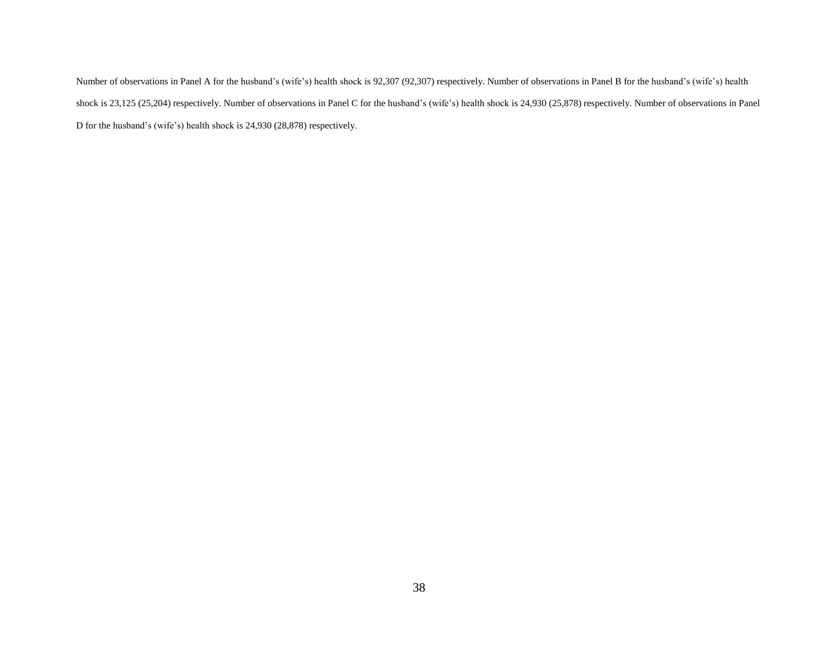Number of observations in Panel A for the husband's (wife's) health shock is 92,307 (92,307) respectively. Number of observations in Panel B for the husband's (wife's) health shock is 23,125 (25,204) respectively. Number of observations in Panel C for the husband's (wife's) health shock is 24,930 (25,878) respectively. Number of observations in Panel D for the husband's (wife's) health shock is 24,930 (28,878) respectively.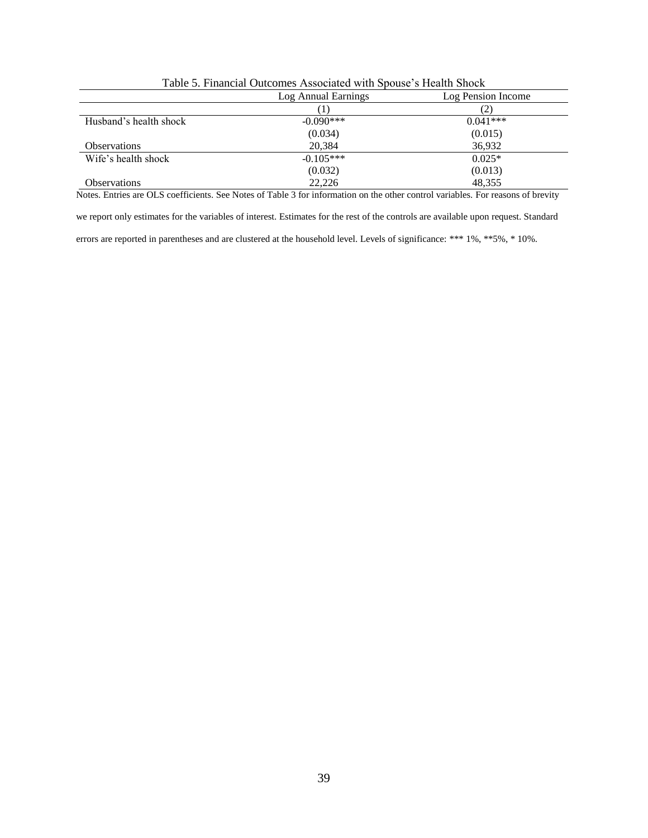| TRAIR AT THROUGH ARRAIG TRACK WAS A THE ARABY A TIRMIN ANDER |                     |                    |  |  |  |  |
|--------------------------------------------------------------|---------------------|--------------------|--|--|--|--|
|                                                              | Log Annual Earnings | Log Pension Income |  |  |  |  |
|                                                              |                     | ,2)                |  |  |  |  |
| Husband's health shock                                       | $-0.090***$         | $0.041***$         |  |  |  |  |
|                                                              | (0.034)             | (0.015)            |  |  |  |  |
| <b>Observations</b>                                          | 20,384              | 36,932             |  |  |  |  |
| Wife's health shock                                          | $-0.105***$         | $0.025*$           |  |  |  |  |
|                                                              | (0.032)             | (0.013)            |  |  |  |  |
| <b>Observations</b>                                          | 22.226              | 48,355             |  |  |  |  |

Table 5. Financial Outcomes Associated with Spouse's Health Shock

Notes. Entries are OLS coefficients. See Notes of Table 3 for information on the other control variables. For reasons of brevity

we report only estimates for the variables of interest. Estimates for the rest of the controls are available upon request. Standard

errors are reported in parentheses and are clustered at the household level. Levels of significance: \*\*\* 1%, \*\*5%, \* 10%.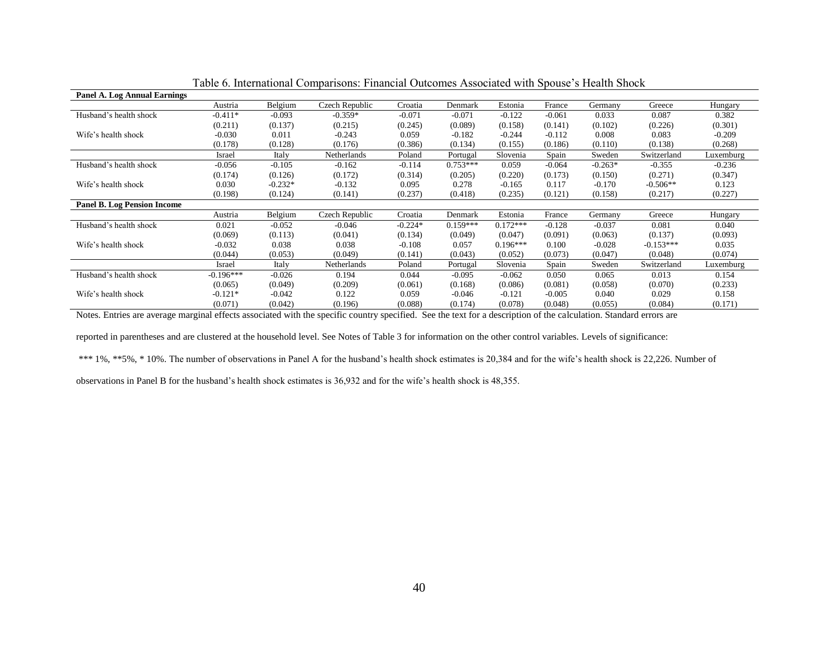| <b>Panel A. Log Annual Earnings</b> |             |           |                |           |            |            |          |           |             |           |
|-------------------------------------|-------------|-----------|----------------|-----------|------------|------------|----------|-----------|-------------|-----------|
|                                     | Austria     | Belgium   | Czech Republic | Croatia   | Denmark    | Estonia    | France   | Germany   | Greece      | Hungary   |
| Husband's health shock              | $-0.411*$   | $-0.093$  | $-0.359*$      | $-0.071$  | $-0.071$   | $-0.122$   | $-0.061$ | 0.033     | 0.087       | 0.382     |
|                                     | (0.211)     | (0.137)   | (0.215)        | (0.245)   | (0.089)    | (0.158)    | (0.141)  | (0.102)   | (0.226)     | (0.301)   |
| Wife's health shock                 | $-0.030$    | 0.011     | $-0.243$       | 0.059     | $-0.182$   | $-0.244$   | $-0.112$ | 0.008     | 0.083       | $-0.209$  |
|                                     | (0.178)     | (0.128)   | (0.176)        | (0.386)   | (0.134)    | (0.155)    | (0.186)  | (0.110)   | (0.138)     | (0.268)   |
|                                     | Israel      | Italy     | Netherlands    | Poland    | Portugal   | Slovenia   | Spain    | Sweden    | Switzerland | Luxemburg |
| Husband's health shock              | $-0.056$    | $-0.105$  | $-0.162$       | $-0.114$  | $0.753***$ | 0.059      | $-0.064$ | $-0.263*$ | $-0.355$    | $-0.236$  |
|                                     | (0.174)     | (0.126)   | (0.172)        | (0.314)   | (0.205)    | (0.220)    | (0.173)  | (0.150)   | (0.271)     | (0.347)   |
| Wife's health shock                 | 0.030       | $-0.232*$ | $-0.132$       | 0.095     | 0.278      | $-0.165$   | 0.117    | $-0.170$  | $-0.506**$  | 0.123     |
|                                     | (0.198)     | (0.124)   | (0.141)        | (0.237)   | (0.418)    | (0.235)    | (0.121)  | (0.158)   | (0.217)     | (0.227)   |
| <b>Panel B. Log Pension Income</b>  |             |           |                |           |            |            |          |           |             |           |
|                                     | Austria     | Belgium   | Czech Republic | Croatia   | Denmark    | Estonia    | France   | Germany   | Greece      | Hungary   |
| Husband's health shock              | 0.021       | $-0.052$  | $-0.046$       | $-0.224*$ | $0.159***$ | $0.172***$ | $-0.128$ | $-0.037$  | 0.081       | 0.040     |
|                                     | (0.069)     | (0.113)   | (0.041)        | (0.134)   | (0.049)    | (0.047)    | (0.091)  | (0.063)   | (0.137)     | (0.093)   |
| Wife's health shock                 | $-0.032$    | 0.038     | 0.038          | $-0.108$  | 0.057      | $0.196***$ | 0.100    | $-0.028$  | $-0.153***$ | 0.035     |
|                                     | (0.044)     | (0.053)   | (0.049)        | (0.141)   | (0.043)    | (0.052)    | (0.073)  | (0.047)   | (0.048)     | (0.074)   |
|                                     | Israel      | Italy     | Netherlands    | Poland    | Portugal   | Slovenia   | Spain    | Sweden    | Switzerland | Luxemburg |
| Husband's health shock              | $-0.196***$ | $-0.026$  | 0.194          | 0.044     | $-0.095$   | $-0.062$   | 0.050    | 0.065     | 0.013       | 0.154     |
|                                     | (0.065)     | (0.049)   | (0.209)        | (0.061)   | (0.168)    | (0.086)    | (0.081)  | (0.058)   | (0.070)     | (0.233)   |
| Wife's health shock                 | $-0.121*$   | $-0.042$  | 0.122          | 0.059     | $-0.046$   | $-0.121$   | $-0.005$ | 0.040     | 0.029       | 0.158     |
|                                     | (0.071)     | (0.042)   | (0.196)        | (0.088)   | (0.174)    | (0.078)    | (0.048)  | (0.055)   | (0.084)     | (0.171)   |

Table 6. International Comparisons: Financial Outcomes Associated with Spouse's Health Shock

Notes. Entries are average marginal effects associated with the specific country specified. See the text for a description of the calculation. Standard errors are

reported in parentheses and are clustered at the household level. See Notes of Table 3 for information on the other control variables. Levels of significance:

\*\*\* 1%, \*\*5%, \* 10%. The number of observations in Panel A for the husband's health shock estimates is 20,384 and for the wife's health shock is 22,226. Number of

observations in Panel B for the husband's health shock estimates is 36,932 and for the wife's health shock is 48,355.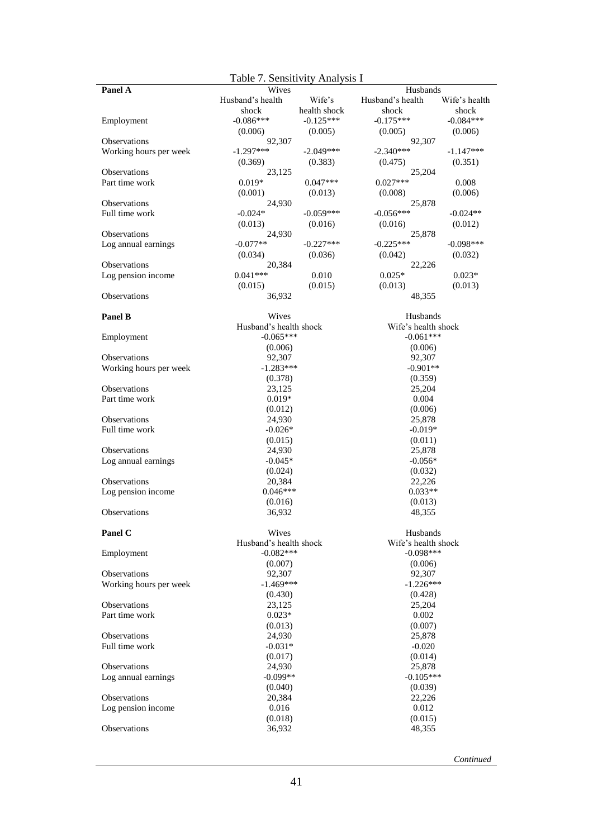|                        | Table 7. Sensitivity Analysis I       |              |                                    |               |
|------------------------|---------------------------------------|--------------|------------------------------------|---------------|
| Panel A                | Wives                                 |              | Husbands                           |               |
|                        | Husband's health                      | Wife's       | Husband's health                   | Wife's health |
|                        | shock                                 | health shock | shock                              | shock         |
| Employment             | $-0.086***$                           | $-0.125***$  | $-0.175***$                        | $-0.084***$   |
|                        | (0.006)                               | (0.005)      | (0.005)                            | (0.006)       |
| <b>Observations</b>    | 92,307                                |              | 92,307                             |               |
| Working hours per week | $-1.297***$                           | $-2.049***$  | $-2.340***$                        | $-1.147***$   |
|                        | (0.369)                               | (0.383)      | (0.475)                            | (0.351)       |
| <b>Observations</b>    | 23,125                                |              | 25,204                             |               |
| Part time work         | $0.019*$                              | $0.047***$   | $0.027***$                         | 0.008         |
|                        | (0.001)                               | (0.013)      | (0.008)                            | (0.006)       |
| <b>Observations</b>    | 24,930                                |              | 25,878                             |               |
| Full time work         | $-0.024*$                             | $-0.059***$  | $-0.056***$                        | $-0.024**$    |
|                        | (0.013)                               | (0.016)      | (0.016)                            | (0.012)       |
| <b>Observations</b>    | 24,930                                |              | 25,878                             |               |
| Log annual earnings    | $-0.077**$                            | $-0.227***$  | $-0.225***$                        | $-0.098***$   |
|                        | (0.034)                               | (0.036)      | (0.042)                            | (0.032)       |
| <b>Observations</b>    | 20,384                                |              | 22,226                             |               |
| Log pension income     | $0.041***$                            | 0.010        | $0.025*$                           | $0.023*$      |
|                        | (0.015)                               | (0.015)      | (0.013)                            | (0.013)       |
| <b>Observations</b>    | 36,932                                |              | 48,355                             |               |
|                        |                                       |              |                                    |               |
| Panel B                | Wives                                 |              | Husbands                           |               |
|                        | Husband's health shock                |              | Wife's health shock                |               |
| Employment             | $-0.065***$                           |              | $-0.061***$                        |               |
|                        | (0.006)                               |              | (0.006)                            |               |
| Observations           | 92,307                                |              | 92,307                             |               |
| Working hours per week | $-1.283***$                           |              | $-0.901**$                         |               |
|                        | (0.378)                               |              | (0.359)                            |               |
| <b>Observations</b>    | 23,125                                |              | 25,204                             |               |
| Part time work         | $0.019*$                              |              | 0.004                              |               |
|                        | (0.012)                               |              | (0.006)                            |               |
| Observations           |                                       |              |                                    |               |
|                        | 24,930                                |              | 25,878                             |               |
| Full time work         | $-0.026*$                             |              | $-0.019*$                          |               |
|                        | (0.015)                               |              | (0.011)                            |               |
| <b>Observations</b>    | 24,930                                |              | 25,878                             |               |
| Log annual earnings    | $-0.045*$                             |              | $-0.056*$                          |               |
|                        | (0.024)                               |              | (0.032)                            |               |
| <b>Observations</b>    | 20,384                                |              | 22,226                             |               |
| Log pension income     | $0.046***$                            |              | $0.033**$                          |               |
|                        | (0.016)                               |              | (0.013)                            |               |
| <b>Observations</b>    | 36,932                                |              | 48,355                             |               |
|                        |                                       |              |                                    |               |
| Panel C                | Wives                                 |              | Husbands                           |               |
|                        | Husband's health shock<br>$-0.082***$ |              | Wife's health shock<br>$-0.098***$ |               |
| Employment             |                                       |              |                                    |               |
|                        | (0.007)                               |              | (0.006)                            |               |
| <b>Observations</b>    | 92.307                                |              | 92.307                             |               |
| Working hours per week | $-1.469***$                           |              | $-1.226***$                        |               |
|                        | (0.430)                               |              | (0.428)                            |               |
| <b>Observations</b>    | 23,125                                |              | 25,204                             |               |
| Part time work         | $0.023*$                              |              | 0.002                              |               |
|                        | (0.013)                               |              | (0.007)                            |               |
|                        | 24,930                                |              | 25,878                             |               |
| <b>Observations</b>    |                                       |              | $-0.020$                           |               |
| Full time work         | $-0.031*$                             |              |                                    |               |
|                        | (0.017)                               |              | (0.014)                            |               |
| <b>Observations</b>    | 24,930                                |              | 25,878                             |               |
|                        | $-0.099**$                            |              | $-0.105***$                        |               |
| Log annual earnings    |                                       |              |                                    |               |
| <b>Observations</b>    | (0.040)                               |              | (0.039)                            |               |
|                        | 20,384                                |              | 22,226                             |               |
| Log pension income     | 0.016<br>(0.018)                      |              | 0.012<br>(0.015)                   |               |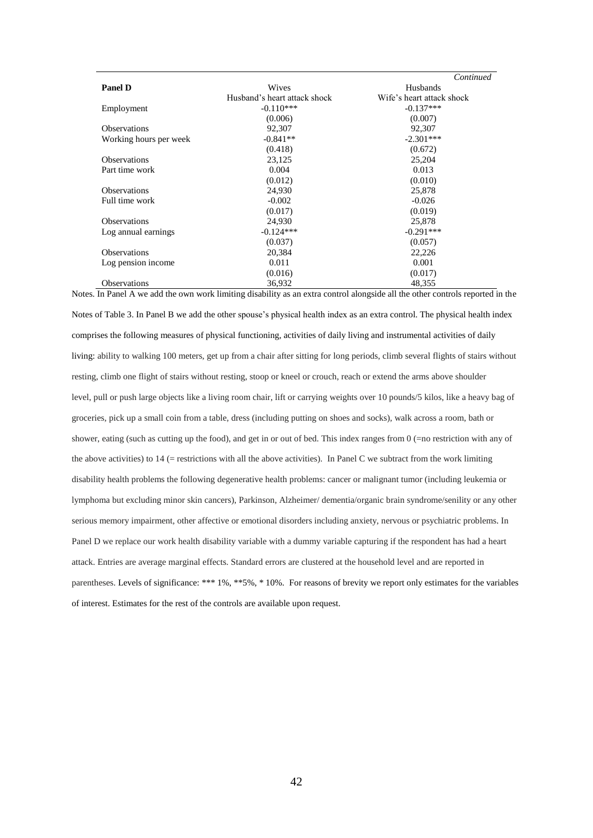|                        |                              | Continued                 |
|------------------------|------------------------------|---------------------------|
| <b>Panel D</b>         | Wives                        | Husbands                  |
|                        | Husband's heart attack shock | Wife's heart attack shock |
| Employment             | $-0.110***$                  | $-0.137***$               |
|                        | (0.006)                      | (0.007)                   |
| <b>Observations</b>    | 92,307                       | 92,307                    |
| Working hours per week | $-0.841**$                   | $-2.301***$               |
|                        | (0.418)                      | (0.672)                   |
| <b>Observations</b>    | 23,125                       | 25,204                    |
| Part time work         | 0.004                        | 0.013                     |
|                        | (0.012)                      | (0.010)                   |
| <b>Observations</b>    | 24,930                       | 25,878                    |
| Full time work         | $-0.002$                     | $-0.026$                  |
|                        | (0.017)                      | (0.019)                   |
| <b>Observations</b>    | 24,930                       | 25,878                    |
| Log annual earnings    | $-0.124***$                  | $-0.291***$               |
|                        | (0.037)                      | (0.057)                   |
| <b>Observations</b>    | 20,384                       | 22,226                    |
| Log pension income     | 0.011                        | 0.001                     |
|                        | (0.016)                      | (0.017)                   |
| <b>Observations</b>    | 36,932                       | 48,355                    |

Notes. In Panel A we add the own work limiting disability as an extra control alongside all the other controls reported in the Notes of Table 3. In Panel B we add the other spouse's physical health index as an extra control. The physical health index comprises the following measures of physical functioning, activities of daily living and instrumental activities of daily living: ability to walking 100 meters, get up from a chair after sitting for long periods, climb several flights of stairs without resting, climb one flight of stairs without resting, stoop or kneel or crouch, reach or extend the arms above shoulder level, pull or push large objects like a living room chair, lift or carrying weights over 10 pounds/5 kilos, like a heavy bag of groceries, pick up a small coin from a table, dress (including putting on shoes and socks), walk across a room, bath or shower, eating (such as cutting up the food), and get in or out of bed. This index ranges from 0 (=no restriction with any of the above activities) to 14 (= restrictions with all the above activities). In Panel C we subtract from the work limiting disability health problems the following degenerative health problems: cancer or malignant tumor (including leukemia or lymphoma but excluding minor skin cancers), Parkinson, Alzheimer/ dementia/organic brain syndrome/senility or any other serious memory impairment, other affective or emotional disorders including anxiety, nervous or psychiatric problems. In Panel D we replace our work health disability variable with a dummy variable capturing if the respondent has had a heart attack. Entries are average marginal effects. Standard errors are clustered at the household level and are reported in parentheses. Levels of significance: \*\*\* 1%, \*\*5%, \* 10%. For reasons of brevity we report only estimates for the variables of interest. Estimates for the rest of the controls are available upon request.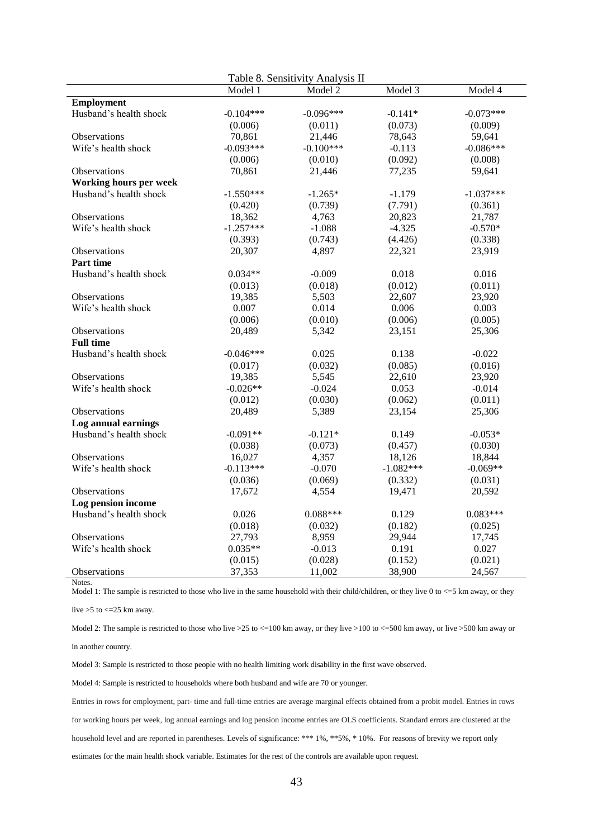| Table 8. Sensitivity Analysis II |             |             |             |             |  |  |  |  |
|----------------------------------|-------------|-------------|-------------|-------------|--|--|--|--|
|                                  | Model 1     | Model 2     | Model 3     | Model 4     |  |  |  |  |
| <b>Employment</b>                |             |             |             |             |  |  |  |  |
| Husband's health shock           | $-0.104***$ | $-0.096***$ | $-0.141*$   | $-0.073***$ |  |  |  |  |
|                                  | (0.006)     | (0.011)     | (0.073)     | (0.009)     |  |  |  |  |
| Observations                     | 70,861      | 21,446      | 78,643      | 59,641      |  |  |  |  |
| Wife's health shock              | $-0.093***$ | $-0.100***$ | $-0.113$    | $-0.086***$ |  |  |  |  |
|                                  | (0.006)     | (0.010)     | (0.092)     | (0.008)     |  |  |  |  |
| <b>Observations</b>              | 70,861      | 21,446      | 77,235      | 59,641      |  |  |  |  |
| <b>Working hours per week</b>    |             |             |             |             |  |  |  |  |
| Husband's health shock           | $-1.550***$ | $-1.265*$   | $-1.179$    | $-1.037***$ |  |  |  |  |
|                                  | (0.420)     | (0.739)     | (7.791)     | (0.361)     |  |  |  |  |
| Observations                     | 18,362      | 4,763       | 20,823      | 21,787      |  |  |  |  |
| Wife's health shock              | $-1.257***$ | $-1.088$    | $-4.325$    | $-0.570*$   |  |  |  |  |
|                                  | (0.393)     | (0.743)     | (4.426)     | (0.338)     |  |  |  |  |
| Observations                     | 20,307      | 4,897       | 22,321      | 23,919      |  |  |  |  |
| Part time                        |             |             |             |             |  |  |  |  |
| Husband's health shock           | $0.034**$   | $-0.009$    | 0.018       | 0.016       |  |  |  |  |
|                                  | (0.013)     | (0.018)     | (0.012)     | (0.011)     |  |  |  |  |
| Observations                     | 19,385      | 5,503       | 22,607      | 23,920      |  |  |  |  |
| Wife's health shock              | 0.007       | 0.014       | 0.006       | 0.003       |  |  |  |  |
|                                  | (0.006)     | (0.010)     | (0.006)     | (0.005)     |  |  |  |  |
| Observations                     | 20,489      | 5,342       | 23,151      | 25,306      |  |  |  |  |
| <b>Full time</b>                 |             |             |             |             |  |  |  |  |
| Husband's health shock           | $-0.046***$ | 0.025       | 0.138       | $-0.022$    |  |  |  |  |
|                                  | (0.017)     | (0.032)     | (0.085)     | (0.016)     |  |  |  |  |
| Observations                     | 19,385      | 5,545       | 22,610      | 23,920      |  |  |  |  |
| Wife's health shock              | $-0.026**$  | $-0.024$    | 0.053       | $-0.014$    |  |  |  |  |
|                                  | (0.012)     | (0.030)     | (0.062)     | (0.011)     |  |  |  |  |
| Observations                     | 20,489      | 5,389       | 23,154      | 25,306      |  |  |  |  |
| Log annual earnings              |             |             |             |             |  |  |  |  |
| Husband's health shock           | $-0.091**$  | $-0.121*$   | 0.149       | $-0.053*$   |  |  |  |  |
|                                  | (0.038)     | (0.073)     | (0.457)     | (0.030)     |  |  |  |  |
| Observations                     | 16,027      | 4,357       | 18,126      | 18,844      |  |  |  |  |
| Wife's health shock              | $-0.113***$ | $-0.070$    | $-1.082***$ | $-0.069**$  |  |  |  |  |
|                                  | (0.036)     | (0.069)     | (0.332)     | (0.031)     |  |  |  |  |
| Observations                     | 17,672      | 4,554       | 19,471      | 20,592      |  |  |  |  |
| Log pension income               |             |             |             |             |  |  |  |  |
| Husband's health shock           | 0.026       | $0.088***$  | 0.129       | $0.083***$  |  |  |  |  |
|                                  | (0.018)     | (0.032)     | (0.182)     | (0.025)     |  |  |  |  |
| <b>Observations</b>              | 27,793      | 8,959       | 29,944      | 17,745      |  |  |  |  |
| Wife's health shock              | $0.035**$   | $-0.013$    | 0.191       | 0.027       |  |  |  |  |
|                                  | (0.015)     | (0.028)     | (0.152)     | (0.021)     |  |  |  |  |
| <b>Observations</b>              | 37,353      | 11,002      | 38,900      | 24,567      |  |  |  |  |
| Notes.                           |             |             |             |             |  |  |  |  |

Model 1: The sample is restricted to those who live in the same household with their child/children, or they live 0 to <=5 km away, or they

live >5 to <=25 km away.

Model 2: The sample is restricted to those who live  $>25$  to  $<-100$  km away, or they live  $>100$  to  $<-500$  km away, or live  $>500$  km away or

in another country.

Model 3: Sample is restricted to those people with no health limiting work disability in the first wave observed.

Model 4: Sample is restricted to households where both husband and wife are 70 or younger.

Entries in rows for employment, part- time and full-time entries are average marginal effects obtained from a probit model. Entries in rows for working hours per week, log annual earnings and log pension income entries are OLS coefficients. Standard errors are clustered at the household level and are reported in parentheses. Levels of significance: \*\*\* 1%, \*\*5%, \* 10%. For reasons of brevity we report only estimates for the main health shock variable. Estimates for the rest of the controls are available upon request.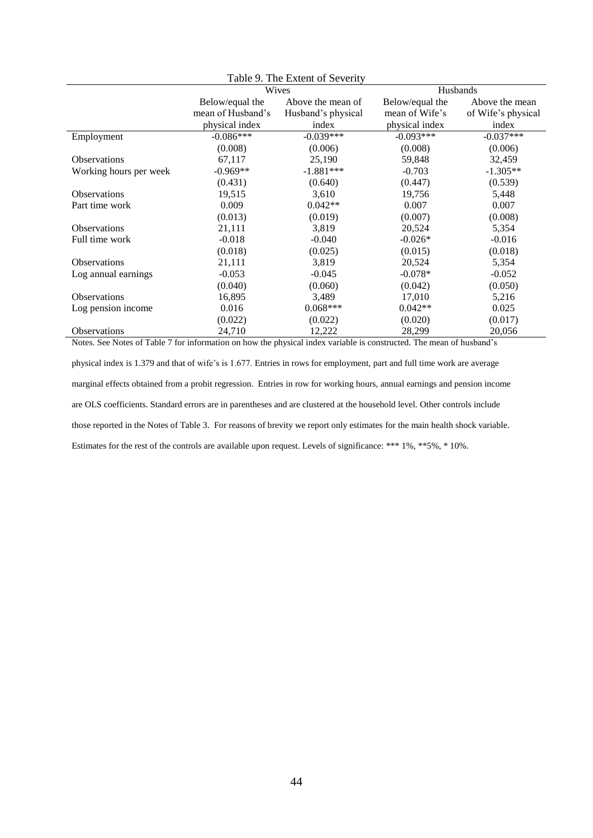| Table 9. The Extent of Severity                                                                                      |                   |                    |                 |                    |  |  |  |  |  |
|----------------------------------------------------------------------------------------------------------------------|-------------------|--------------------|-----------------|--------------------|--|--|--|--|--|
|                                                                                                                      | Husbands          |                    |                 |                    |  |  |  |  |  |
|                                                                                                                      | Below/equal the   | Above the mean of  | Below/equal the | Above the mean     |  |  |  |  |  |
|                                                                                                                      | mean of Husband's | Husband's physical | mean of Wife's  | of Wife's physical |  |  |  |  |  |
|                                                                                                                      | physical index    | index              | physical index  | index              |  |  |  |  |  |
| Employment                                                                                                           | $-0.086***$       | $-0.039***$        | $-0.093***$     | $-0.037***$        |  |  |  |  |  |
|                                                                                                                      | (0.008)           | (0.006)            | (0.008)         | (0.006)            |  |  |  |  |  |
| <b>Observations</b>                                                                                                  | 67,117            | 25,190             | 59,848          | 32,459             |  |  |  |  |  |
| Working hours per week                                                                                               | $-0.969**$        | $-1.881***$        | $-0.703$        | $-1.305**$         |  |  |  |  |  |
|                                                                                                                      | (0.431)           | (0.640)            | (0.447)         | (0.539)            |  |  |  |  |  |
| <b>Observations</b>                                                                                                  | 19,515            | 3,610              | 19,756          | 5,448              |  |  |  |  |  |
| Part time work                                                                                                       | 0.009             | $0.042**$          | 0.007           | 0.007              |  |  |  |  |  |
|                                                                                                                      | (0.013)           | (0.019)            | (0.007)         | (0.008)            |  |  |  |  |  |
| <b>Observations</b>                                                                                                  | 21,111            | 3,819              | 20,524          | 5,354              |  |  |  |  |  |
| Full time work                                                                                                       | $-0.018$          | $-0.040$           | $-0.026*$       | $-0.016$           |  |  |  |  |  |
|                                                                                                                      | (0.018)           | (0.025)            | (0.015)         | (0.018)            |  |  |  |  |  |
| <b>Observations</b>                                                                                                  | 21,111            | 3,819              | 20,524          | 5,354              |  |  |  |  |  |
| Log annual earnings                                                                                                  | $-0.053$          | $-0.045$           | $-0.078*$       | $-0.052$           |  |  |  |  |  |
|                                                                                                                      | (0.040)           | (0.060)            | (0.042)         | (0.050)            |  |  |  |  |  |
| <b>Observations</b>                                                                                                  | 16,895            | 3,489              | 17,010          | 5,216              |  |  |  |  |  |
| Log pension income                                                                                                   | 0.016             | $0.068***$         | $0.042**$       | 0.025              |  |  |  |  |  |
|                                                                                                                      | (0.022)           | (0.022)            | (0.020)         | (0.017)            |  |  |  |  |  |
| <b>Observations</b>                                                                                                  | 24,710            | 12,222             | 28,299          | 20,056             |  |  |  |  |  |
| Notes. See Notes of Table 7 for information on how the physical index variable is constructed. The mean of husband's |                   |                    |                 |                    |  |  |  |  |  |

physical index is 1.379 and that of wife's is 1.677. Entries in rows for employment, part and full time work are average marginal effects obtained from a probit regression. Entries in row for working hours, annual earnings and pension income are OLS coefficients. Standard errors are in parentheses and are clustered at the household level. Other controls include those reported in the Notes of Table 3. For reasons of brevity we report only estimates for the main health shock variable. Estimates for the rest of the controls are available upon request. Levels of significance: \*\*\* 1%, \*\*5%, \* 10%.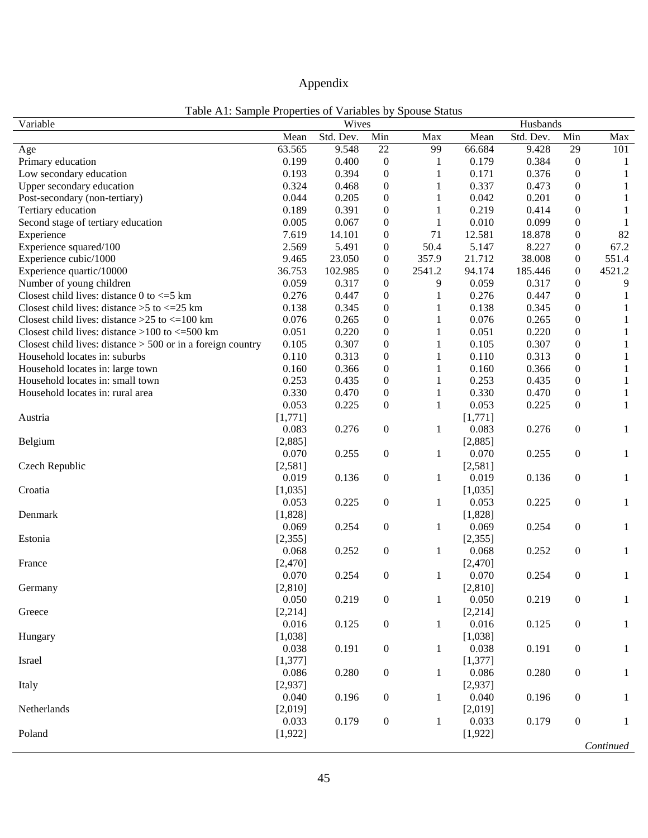# Appendix

| Variable                                                      |          | Wives     |                  |        |          | Husbands  |                  |        |
|---------------------------------------------------------------|----------|-----------|------------------|--------|----------|-----------|------------------|--------|
|                                                               | Mean     | Std. Dev. | Min              | Max    | Mean     | Std. Dev. | Min              | Max    |
| Age                                                           | 63.565   | 9.548     | 22               | 99     | 66.684   | 9.428     | 29               | 101    |
| Primary education                                             | 0.199    | 0.400     | $\boldsymbol{0}$ | 1      | 0.179    | 0.384     | $\boldsymbol{0}$ |        |
| Low secondary education                                       | 0.193    | 0.394     | 0                | 1      | 0.171    | 0.376     | $\boldsymbol{0}$ |        |
| Upper secondary education                                     | 0.324    | 0.468     | 0                | 1      | 0.337    | 0.473     | $\boldsymbol{0}$ |        |
| Post-secondary (non-tertiary)                                 | 0.044    | 0.205     | 0                | 1      | 0.042    | 0.201     | $\boldsymbol{0}$ |        |
| Tertiary education                                            | 0.189    | 0.391     | 0                | 1      | 0.219    | 0.414     | $\boldsymbol{0}$ |        |
| Second stage of tertiary education                            | 0.005    | 0.067     | 0                | 1      | 0.010    | 0.099     | $\mathbf{0}$     |        |
| Experience                                                    | 7.619    | 14.101    | 0                | 71     | 12.581   | 18.878    | $\mathbf{0}$     | 82     |
| Experience squared/100                                        | 2.569    | 5.491     | 0                | 50.4   | 5.147    | 8.227     | $\mathbf{0}$     | 67.2   |
| Experience cubic/1000                                         | 9.465    | 23.050    | $\overline{0}$   | 357.9  | 21.712   | 38.008    | $\boldsymbol{0}$ | 551.4  |
| Experience quartic/10000                                      | 36.753   | 102.985   | $\overline{0}$   | 2541.2 | 94.174   | 185.446   | $\mathbf{0}$     | 4521.2 |
| Number of young children                                      | 0.059    | 0.317     | 0                | 9      | 0.059    | 0.317     | $\mathbf{0}$     | 9      |
| Closest child lives: distance 0 to $\leq$ 5 km                | 0.276    | 0.447     | $\boldsymbol{0}$ | 1      | 0.276    | 0.447     | $\mathbf{0}$     |        |
| Closest child lives: distance $>5$ to $\leq$ 25 km            | 0.138    | 0.345     | 0                |        | 0.138    | 0.345     | $\mathbf{0}$     |        |
| Closest child lives: distance $>25$ to $\leq$ 100 km          | 0.076    | 0.265     | $\theta$         |        | 0.076    | 0.265     | $\mathbf{0}$     |        |
| Closest child lives: distance $>100$ to $\leq 500$ km         | 0.051    | 0.220     | $\theta$         |        | 0.051    | 0.220     | $\overline{0}$   |        |
| Closest child lives: distance $> 500$ or in a foreign country | 0.105    | 0.307     | 0                |        | 0.105    | 0.307     | $\boldsymbol{0}$ |        |
| Household locates in: suburbs                                 | 0.110    | 0.313     | 0                |        | 0.110    | 0.313     | $\boldsymbol{0}$ |        |
| Household locates in: large town                              | 0.160    | 0.366     | 0                | 1      | 0.160    | 0.366     | $\boldsymbol{0}$ |        |
| Household locates in: small town                              | 0.253    | 0.435     | 0                | 1      | 0.253    | 0.435     | $\boldsymbol{0}$ | 1      |
| Household locates in: rural area                              | 0.330    | 0.470     | 0                | 1      | 0.330    | 0.470     | $\boldsymbol{0}$ |        |
|                                                               | 0.053    | 0.225     | $\boldsymbol{0}$ | 1      | 0.053    | 0.225     | $\boldsymbol{0}$ | 1      |
| Austria                                                       | [1, 771] |           |                  |        | [1, 771] |           |                  |        |
|                                                               | 0.083    | 0.276     | $\boldsymbol{0}$ | 1      | 0.083    | 0.276     | $\boldsymbol{0}$ | 1      |
| Belgium                                                       | [2,885]  |           |                  |        | [2,885]  |           |                  |        |
|                                                               | 0.070    | 0.255     | $\boldsymbol{0}$ | 1      | 0.070    | 0.255     | $\boldsymbol{0}$ |        |
| Czech Republic                                                | [2, 581] |           |                  |        | [2,581]  |           |                  |        |
|                                                               | 0.019    | 0.136     | $\boldsymbol{0}$ | 1      | 0.019    | 0.136     | $\boldsymbol{0}$ |        |
| Croatia                                                       | [1,035]  |           |                  |        | [1,035]  |           |                  |        |
|                                                               | 0.053    | 0.225     | $\boldsymbol{0}$ | 1      | 0.053    | 0.225     | $\boldsymbol{0}$ |        |
| Denmark                                                       | [1,828]  |           |                  |        | [1,828]  |           |                  |        |
|                                                               | 0.069    | 0.254     | 0                | 1      | 0.069    | 0.254     | $\boldsymbol{0}$ |        |
| Estonia                                                       | [2, 355] |           |                  |        | [2, 355] |           |                  |        |

| Czech Republic | [2,581]  |       |                  |              | [2,581]  |       |                  |              |
|----------------|----------|-------|------------------|--------------|----------|-------|------------------|--------------|
|                | 0.019    | 0.136 | $\mathbf{0}$     | $\mathbf{1}$ | 0.019    | 0.136 | $\boldsymbol{0}$ | $\mathbf{1}$ |
| Croatia        | [1,035]  |       |                  |              | [1,035]  |       |                  |              |
|                | 0.053    | 0.225 | $\mathbf{0}$     | $\mathbf{1}$ | 0.053    | 0.225 | $\boldsymbol{0}$ | $\mathbf{1}$ |
| Denmark        | [1,828]  |       |                  |              | [1,828]  |       |                  |              |
|                | 0.069    | 0.254 | $\mathbf{0}$     | 1            | 0.069    | 0.254 | $\boldsymbol{0}$ | $\mathbf{1}$ |
| Estonia        | [2, 355] |       |                  |              | [2, 355] |       |                  |              |
|                | 0.068    | 0.252 | $\boldsymbol{0}$ | 1            | 0.068    | 0.252 | $\boldsymbol{0}$ | 1            |
| France         | [2,470]  |       |                  |              | [2,470]  |       |                  |              |
|                | 0.070    | 0.254 | $\boldsymbol{0}$ | 1            | 0.070    | 0.254 | $\boldsymbol{0}$ | $\mathbf{1}$ |
| Germany        | [2,810]  |       |                  |              | [2,810]  |       |                  |              |
|                | 0.050    | 0.219 | $\mathbf{0}$     | 1            | 0.050    | 0.219 | $\boldsymbol{0}$ | $\mathbf{1}$ |
| Greece         | [2,214]  |       |                  |              | [2,214]  |       |                  |              |
|                | 0.016    | 0.125 | $\boldsymbol{0}$ | 1            | 0.016    | 0.125 | $\boldsymbol{0}$ | $\mathbf{1}$ |
| Hungary        | [1,038]  |       |                  |              | [1,038]  |       |                  |              |
|                | 0.038    | 0.191 | $\boldsymbol{0}$ | 1            | 0.038    | 0.191 | $\boldsymbol{0}$ | $\mathbf{1}$ |
| Israel         | [1, 377] |       |                  |              | [1, 377] |       |                  |              |
|                | 0.086    | 0.280 | $\boldsymbol{0}$ | 1            | 0.086    | 0.280 | $\boldsymbol{0}$ | $\mathbf{1}$ |
| Italy          | [2,937]  |       |                  |              | [2,937]  |       |                  |              |
|                | 0.040    | 0.196 | $\mathbf{0}$     | 1            | 0.040    | 0.196 | $\boldsymbol{0}$ | $\mathbf{1}$ |
| Netherlands    | [2,019]  |       |                  |              | [2,019]  |       |                  |              |
|                | 0.033    | 0.179 | $\boldsymbol{0}$ | $\mathbf{1}$ | 0.033    | 0.179 | $\boldsymbol{0}$ | 1            |
| Poland         | [1,922]  |       |                  |              | [1,922]  |       |                  |              |
|                |          |       |                  |              |          |       |                  | Continued    |